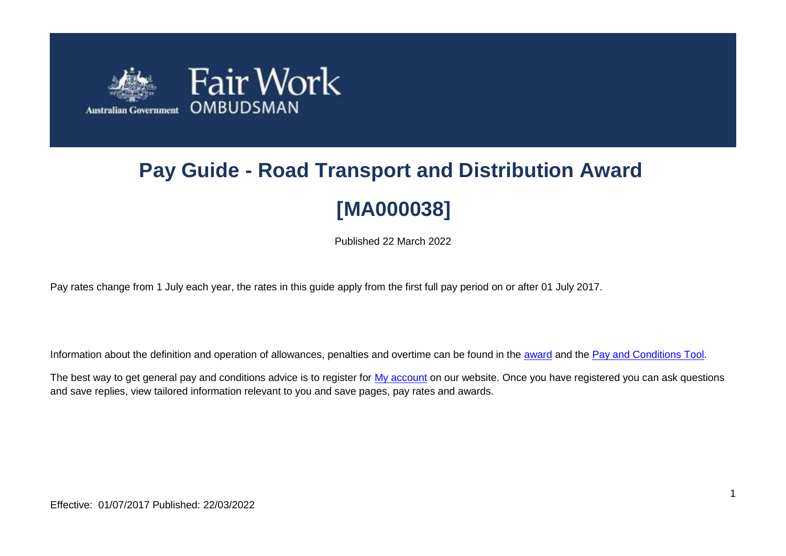

# **Pay Guide - Road Transport and Distribution Award [MA000038]**

Published 22 March 2022

Pay rates change from 1 July each year, the rates in this guide apply from the first full pay period on or after 01 July 2017.

Information about the definition and operation of allowances, penalties and overtime can be found in the [award](https://www.fairwork.gov.au/awards-and-agreements/awards/list-of-awards) and the [Pay and Conditions Tool.](https://calculate.fairwork.gov.au/)

The best way to get general pay and conditions advice is to register for [My account](https://www.fairwork.gov.au/my-account/registerpage.aspx) on our website. Once you have registered you can ask questions and save replies, view tailored information relevant to you and save pages, pay rates and awards.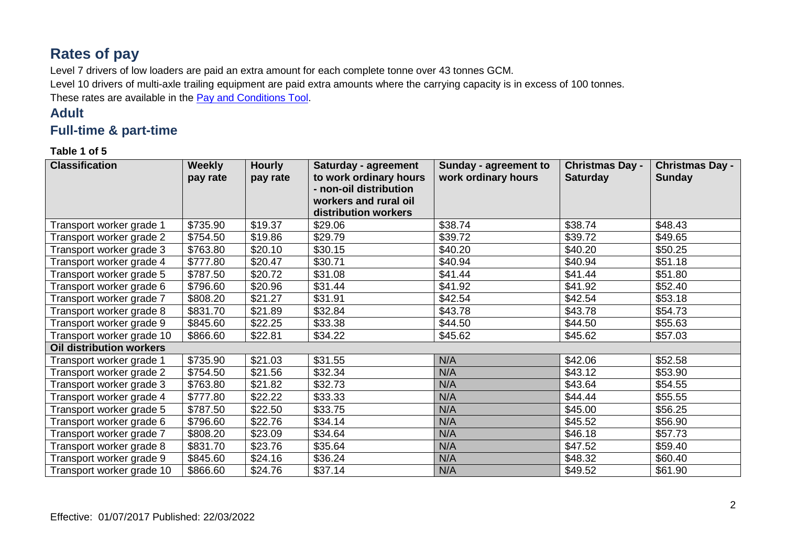# **Rates of pay**

Level 7 drivers of low loaders are paid an extra amount for each complete tonne over 43 tonnes GCM.

Level 10 drivers of multi-axle trailing equipment are paid extra amounts where the carrying capacity is in excess of 100 tonnes.

These rates are available in the **Pay and Conditions Tool**.

## **Adult**

## **Full-time & part-time**

**Table 1 of 5**

| <b>Classification</b>           | <b>Weekly</b> | <b>Hourly</b>       | Saturday - agreement   | Sunday - agreement to | <b>Christmas Day -</b> | <b>Christmas Day -</b> |
|---------------------------------|---------------|---------------------|------------------------|-----------------------|------------------------|------------------------|
|                                 | pay rate      | pay rate            | to work ordinary hours | work ordinary hours   | <b>Saturday</b>        | <b>Sunday</b>          |
|                                 |               |                     | - non-oil distribution |                       |                        |                        |
|                                 |               |                     | workers and rural oil  |                       |                        |                        |
|                                 |               |                     | distribution workers   |                       |                        |                        |
| Transport worker grade 1        | \$735.90      | \$19.37             | \$29.06                | \$38.74               | \$38.74                | \$48.43                |
| Transport worker grade 2        | \$754.50      | \$19.86             | \$29.79                | \$39.72               | \$39.72                | \$49.65                |
| Transport worker grade 3        | \$763.80      | \$20.10             | \$30.15                | \$40.20               | \$40.20                | \$50.25                |
| Transport worker grade 4        | \$777.80      | \$20.47             | \$30.71                | \$40.94               | \$40.94                | \$51.18                |
| Transport worker grade 5        | \$787.50      | \$20.72             | \$31.08                | \$41.44               | \$41.44                | \$51.80                |
| Transport worker grade 6        | \$796.60      | \$20.96             | \$31.44                | \$41.92               | \$41.92                | \$52.40                |
| Transport worker grade 7        | \$808.20      | \$21.27             | \$31.91                | \$42.54               | \$42.54                | \$53.18                |
| Transport worker grade 8        | \$831.70      | \$21.89             | \$32.84                | \$43.78               | \$43.78                | \$54.73                |
| Transport worker grade 9        | \$845.60      | \$22.25             | \$33.38                | \$44.50               | \$44.50                | \$55.63                |
| Transport worker grade 10       | \$866.60      | \$22.81             | \$34.22                | \$45.62               | \$45.62                | \$57.03                |
| <b>Oil distribution workers</b> |               |                     |                        |                       |                        |                        |
| Transport worker grade 1        | \$735.90      | \$21.03             | \$31.55                | N/A                   | \$42.06                | \$52.58                |
| Transport worker grade 2        | \$754.50      | \$21.56             | \$32.34                | N/A                   | \$43.12                | \$53.90                |
| Transport worker grade 3        | \$763.80      | \$21.82             | \$32.73                | N/A                   | \$43.64                | \$54.55                |
| Transport worker grade 4        | \$777.80      | $\overline{$}22.22$ | \$33.33                | N/A                   | \$44.44                | \$55.55                |
| Transport worker grade 5        | \$787.50      | \$22.50             | \$33.75                | N/A                   | \$45.00                | \$56.25                |
| Transport worker grade 6        | \$796.60      | \$22.76             | \$34.14                | N/A                   | \$45.52                | \$56.90                |
| Transport worker grade 7        | \$808.20      | \$23.09             | \$34.64                | N/A                   | \$46.18                | \$57.73                |
| Transport worker grade 8        | \$831.70      | \$23.76             | \$35.64                | N/A                   | \$47.52                | \$59.40                |
| Transport worker grade 9        | \$845.60      | \$24.16             | \$36.24                | N/A                   | \$48.32                | \$60.40                |
| Transport worker grade 10       | \$866.60      | \$24.76             | \$37.14                | N/A                   | \$49.52                | \$61.90                |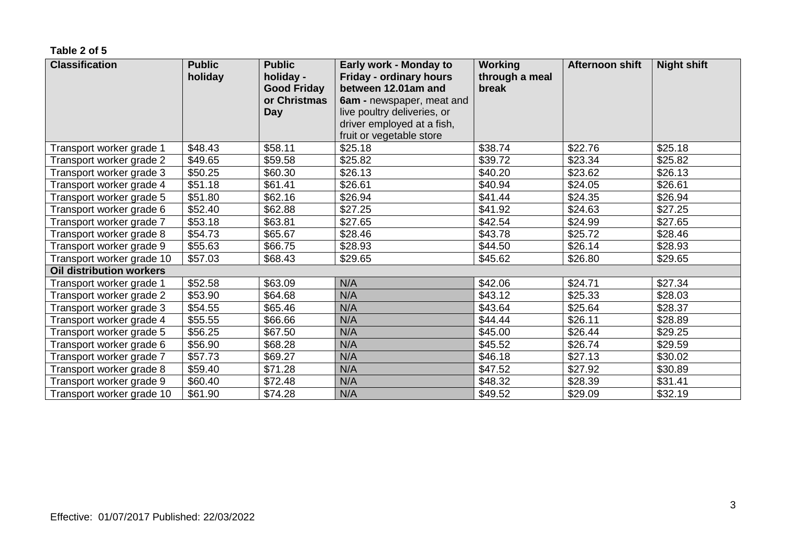#### **Table 2 of 5**

| <b>Classification</b>     | <b>Public</b><br>holiday | <b>Public</b><br>holiday -<br><b>Good Friday</b><br>or Christmas<br><b>Day</b> | Early work - Monday to<br><b>Friday - ordinary hours</b><br>between 12.01am and<br>6am - newspaper, meat and<br>live poultry deliveries, or<br>driver employed at a fish,<br>fruit or vegetable store | <b>Working</b><br>through a meal<br>break | Afternoon shift | <b>Night shift</b> |
|---------------------------|--------------------------|--------------------------------------------------------------------------------|-------------------------------------------------------------------------------------------------------------------------------------------------------------------------------------------------------|-------------------------------------------|-----------------|--------------------|
| Transport worker grade 1  | \$48.43                  | \$58.11                                                                        | \$25.18                                                                                                                                                                                               | \$38.74                                   | \$22.76         | \$25.18            |
| Transport worker grade 2  | \$49.65                  | \$59.58                                                                        | \$25.82                                                                                                                                                                                               | \$39.72                                   | \$23.34         | \$25.82            |
| Transport worker grade 3  | \$50.25                  | \$60.30                                                                        | \$26.13                                                                                                                                                                                               | \$40.20                                   | \$23.62         | \$26.13            |
| Transport worker grade 4  | \$51.18                  | \$61.41                                                                        | \$26.61                                                                                                                                                                                               | \$40.94                                   | \$24.05         | \$26.61            |
| Transport worker grade 5  | \$51.80                  | \$62.16                                                                        | \$26.94                                                                                                                                                                                               | \$41.44                                   | \$24.35         | \$26.94            |
| Transport worker grade 6  | \$52.40                  | \$62.88                                                                        | \$27.25                                                                                                                                                                                               | \$41.92                                   | \$24.63         | \$27.25            |
| Transport worker grade 7  | \$53.18                  | \$63.81                                                                        | \$27.65                                                                                                                                                                                               | \$42.54                                   | \$24.99         | \$27.65            |
| Transport worker grade 8  | \$54.73                  | \$65.67                                                                        | \$28.46                                                                                                                                                                                               | \$43.78                                   | \$25.72         | \$28.46            |
| Transport worker grade 9  | \$55.63                  | \$66.75                                                                        | \$28.93                                                                                                                                                                                               | \$44.50                                   | \$26.14         | \$28.93            |
| Transport worker grade 10 | \$57.03                  | \$68.43                                                                        | \$29.65                                                                                                                                                                                               | \$45.62                                   | \$26.80         | \$29.65            |
| Oil distribution workers  |                          |                                                                                |                                                                                                                                                                                                       |                                           |                 |                    |
| Transport worker grade 1  | \$52.58                  | \$63.09                                                                        | N/A                                                                                                                                                                                                   | \$42.06                                   | \$24.71         | \$27.34            |
| Transport worker grade 2  | \$53.90                  | \$64.68                                                                        | N/A                                                                                                                                                                                                   | \$43.12                                   | \$25.33         | \$28.03            |
| Transport worker grade 3  | \$54.55                  | \$65.46                                                                        | N/A                                                                                                                                                                                                   | \$43.64                                   | \$25.64         | \$28.37            |
| Transport worker grade 4  | \$55.55                  | \$66.66                                                                        | N/A                                                                                                                                                                                                   | \$44.44                                   | \$26.11         | \$28.89            |
| Transport worker grade 5  | \$56.25                  | \$67.50                                                                        | N/A                                                                                                                                                                                                   | \$45.00                                   | \$26.44         | \$29.25            |
| Transport worker grade 6  | \$56.90                  | \$68.28                                                                        | N/A                                                                                                                                                                                                   | \$45.52                                   | \$26.74         | \$29.59            |
| Transport worker grade 7  | \$57.73                  | \$69.27                                                                        | N/A                                                                                                                                                                                                   | \$46.18                                   | \$27.13         | \$30.02            |
| Transport worker grade 8  | \$59.40                  | \$71.28                                                                        | N/A                                                                                                                                                                                                   | \$47.52                                   | \$27.92         | \$30.89            |
| Transport worker grade 9  | \$60.40                  | \$72.48                                                                        | N/A                                                                                                                                                                                                   | \$48.32                                   | \$28.39         | \$31.41            |
| Transport worker grade 10 | \$61.90                  | \$74.28                                                                        | N/A                                                                                                                                                                                                   | \$49.52                                   | \$29.09         | \$32.19            |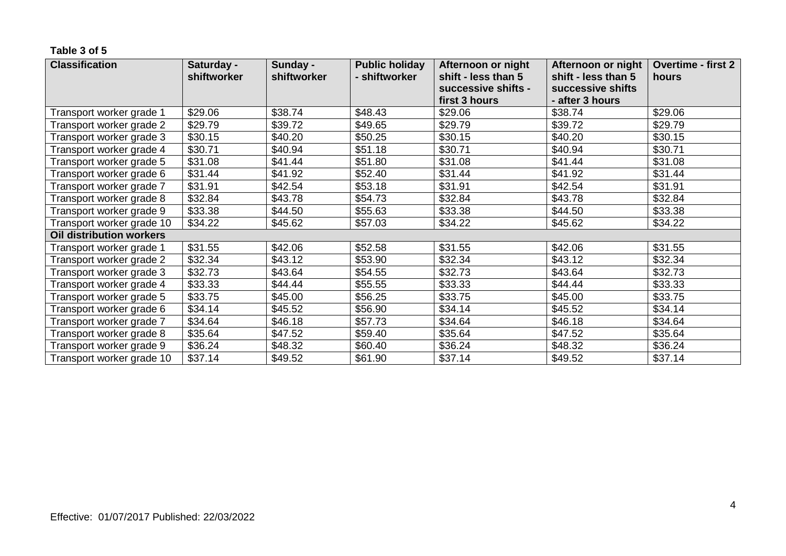#### **Table 3 of 5**

| <b>Classification</b>           | Saturday -  | Sunday -    | <b>Public holiday</b> | Afternoon or night                   | Afternoon or night                   | <b>Overtime - first 2</b> |
|---------------------------------|-------------|-------------|-----------------------|--------------------------------------|--------------------------------------|---------------------------|
|                                 | shiftworker | shiftworker | - shiftworker         | shift - less than 5                  | shift - less than 5                  | hours                     |
|                                 |             |             |                       | successive shifts -<br>first 3 hours | successive shifts<br>- after 3 hours |                           |
|                                 |             |             |                       |                                      |                                      |                           |
| Transport worker grade 1        | \$29.06     | \$38.74     | \$48.43               | \$29.06                              | \$38.74                              | \$29.06                   |
| Transport worker grade 2        | \$29.79     | \$39.72     | \$49.65               | \$29.79                              | \$39.72                              | \$29.79                   |
| Transport worker grade 3        | \$30.15     | \$40.20     | \$50.25               | \$30.15                              | \$40.20                              | \$30.15                   |
| Transport worker grade 4        | \$30.71     | \$40.94     | \$51.18               | \$30.71                              | \$40.94                              | \$30.71                   |
| Transport worker grade 5        | \$31.08     | \$41.44     | \$51.80               | \$31.08                              | \$41.44                              | \$31.08                   |
| Transport worker grade 6        | \$31.44     | \$41.92     | \$52.40               | \$31.44                              | \$41.92                              | \$31.44                   |
| Transport worker grade 7        | \$31.91     | \$42.54     | \$53.18               | \$31.91                              | \$42.54                              | \$31.91                   |
| Transport worker grade 8        | \$32.84     | \$43.78     | \$54.73               | \$32.84                              | \$43.78                              | \$32.84                   |
| Transport worker grade 9        | \$33.38     | \$44.50     | \$55.63               | \$33.38                              | \$44.50                              | \$33.38                   |
| Transport worker grade 10       | \$34.22     | \$45.62     | \$57.03               | \$34.22                              | \$45.62                              | \$34.22                   |
| <b>Oil distribution workers</b> |             |             |                       |                                      |                                      |                           |
| Transport worker grade 1        | \$31.55     | \$42.06     | \$52.58               | \$31.55                              | \$42.06                              | \$31.55                   |
| Transport worker grade 2        | \$32.34     | \$43.12     | \$53.90               | \$32.34                              | \$43.12                              | \$32.34                   |
| Transport worker grade 3        | \$32.73     | \$43.64     | \$54.55               | \$32.73                              | \$43.64                              | \$32.73                   |
| Transport worker grade 4        | \$33.33     | \$44.44     | \$55.55               | \$33.33                              | \$44.44                              | \$33.33                   |
| Transport worker grade 5        | \$33.75     | \$45.00     | \$56.25               | \$33.75                              | \$45.00                              | \$33.75                   |
| Transport worker grade 6        | \$34.14     | \$45.52     | \$56.90               | \$34.14                              | \$45.52                              | \$34.14                   |
| Transport worker grade 7        | \$34.64     | \$46.18     | \$57.73               | \$34.64                              | \$46.18                              | \$34.64                   |
| Transport worker grade 8        | \$35.64     | \$47.52     | \$59.40               | \$35.64                              | \$47.52                              | \$35.64                   |
| Transport worker grade 9        | \$36.24     | \$48.32     | \$60.40               | \$36.24                              | \$48.32                              | \$36.24                   |
| Transport worker grade 10       | \$37.14     | \$49.52     | \$61.90               | \$37.14                              | \$49.52                              | \$37.14                   |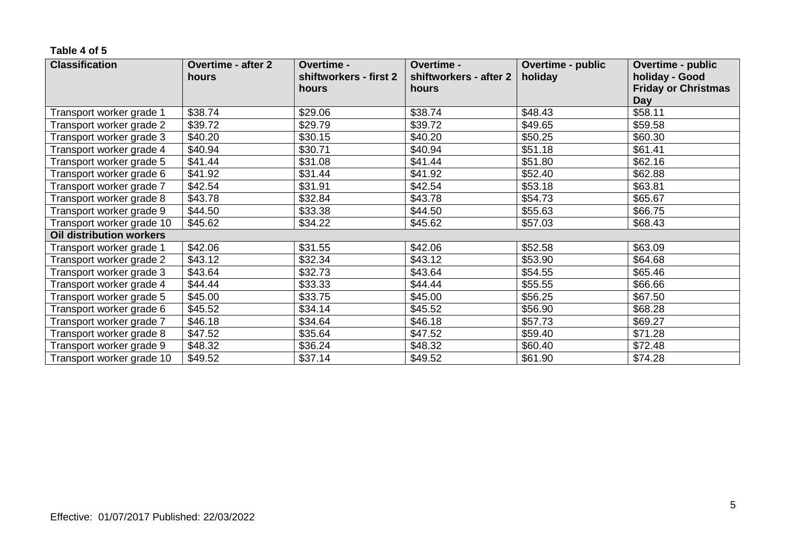#### **Table 4 of 5**

| <b>Classification</b>           | <b>Overtime - after 2</b> | Overtime -             | Overtime -             | <b>Overtime - public</b> | Overtime - public          |
|---------------------------------|---------------------------|------------------------|------------------------|--------------------------|----------------------------|
|                                 | hours                     | shiftworkers - first 2 | shiftworkers - after 2 | holiday                  | holiday - Good             |
|                                 |                           | hours                  | hours                  |                          | <b>Friday or Christmas</b> |
|                                 |                           |                        |                        |                          | <b>Day</b>                 |
| Transport worker grade 1        | \$38.74                   | \$29.06                | \$38.74                | \$48.43                  | \$58.11                    |
| Transport worker grade 2        | \$39.72                   | \$29.79                | \$39.72                | \$49.65                  | \$59.58                    |
| Transport worker grade 3        | \$40.20                   | \$30.15                | \$40.20                | \$50.25                  | \$60.30                    |
| Transport worker grade 4        | \$40.94                   | \$30.71                | \$40.94                | \$51.18                  | \$61.41                    |
| Transport worker grade 5        | \$41.44                   | \$31.08                | \$41.44                | \$51.80                  | \$62.16                    |
| Transport worker grade 6        | \$41.92                   | \$31.44                | \$41.92                | \$52.40                  | \$62.88                    |
| Transport worker grade 7        | \$42.54                   | \$31.91                | \$42.54                | \$53.18                  | \$63.81                    |
| Transport worker grade 8        | \$43.78                   | \$32.84                | \$43.78                | \$54.73                  | \$65.67                    |
| Transport worker grade 9        | \$44.50                   | \$33.38                | \$44.50                | \$55.63                  | \$66.75                    |
| Transport worker grade 10       | \$45.62                   | \$34.22                | \$45.62                | \$57.03                  | \$68.43                    |
| <b>Oil distribution workers</b> |                           |                        |                        |                          |                            |
| Transport worker grade 1        | \$42.06                   | \$31.55                | \$42.06                | \$52.58                  | \$63.09                    |
| Transport worker grade 2        | \$43.12                   | \$32.34                | \$43.12                | \$53.90                  | \$64.68                    |
| Transport worker grade 3        | \$43.64                   | \$32.73                | \$43.64                | \$54.55                  | \$65.46                    |
| Transport worker grade 4        | \$44.44                   | \$33.33                | \$44.44                | \$55.55                  | \$66.66                    |
| Transport worker grade 5        | \$45.00                   | \$33.75                | \$45.00                | \$56.25                  | \$67.50                    |
| Transport worker grade 6        | \$45.52                   | \$34.14                | \$45.52                | \$56.90                  | \$68.28                    |
| Transport worker grade 7        | \$46.18                   | \$34.64                | \$46.18                | \$57.73                  | \$69.27                    |
| Transport worker grade 8        | \$47.52                   | \$35.64                | \$47.52                | \$59.40                  | \$71.28                    |
| Transport worker grade 9        | \$48.32                   | \$36.24                | \$48.32                | \$60.40                  | \$72.48                    |
| Transport worker grade 10       | \$49.52                   | \$37.14                | \$49.52                | \$61.90                  | \$74.28                    |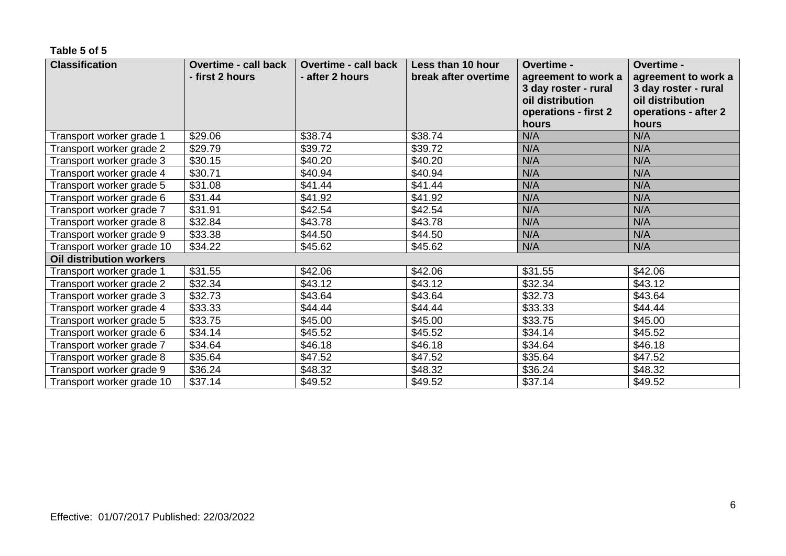#### **Table 5 of 5**

| <b>Classification</b>     | <b>Overtime - call back</b><br>- first 2 hours | <b>Overtime - call back</b><br>- after 2 hours | Less than 10 hour<br>break after overtime | Overtime -<br>agreement to work a<br>3 day roster - rural<br>oil distribution | Overtime -<br>agreement to work a<br>3 day roster - rural<br>oil distribution |
|---------------------------|------------------------------------------------|------------------------------------------------|-------------------------------------------|-------------------------------------------------------------------------------|-------------------------------------------------------------------------------|
|                           |                                                |                                                |                                           | operations - first 2<br>hours                                                 | operations - after 2<br>hours                                                 |
| Transport worker grade 1  | \$29.06                                        | \$38.74                                        | \$38.74                                   | N/A                                                                           | N/A                                                                           |
| Transport worker grade 2  | \$29.79                                        | \$39.72                                        | \$39.72                                   | N/A                                                                           | N/A                                                                           |
| Transport worker grade 3  | \$30.15                                        | \$40.20                                        | \$40.20                                   | N/A                                                                           | N/A                                                                           |
| Transport worker grade 4  | \$30.71                                        | \$40.94                                        | \$40.94                                   | N/A                                                                           | N/A                                                                           |
| Transport worker grade 5  | \$31.08                                        | \$41.44                                        | \$41.44                                   | N/A                                                                           | N/A                                                                           |
| Transport worker grade 6  | \$31.44                                        | \$41.92                                        | \$41.92                                   | N/A                                                                           | N/A                                                                           |
| Transport worker grade 7  | \$31.91                                        | \$42.54                                        | \$42.54                                   | N/A                                                                           | N/A                                                                           |
| Transport worker grade 8  | \$32.84                                        | \$43.78                                        | \$43.78                                   | N/A                                                                           | N/A                                                                           |
| Transport worker grade 9  | \$33.38                                        | \$44.50                                        | \$44.50                                   | N/A                                                                           | N/A                                                                           |
| Transport worker grade 10 | \$34.22                                        | \$45.62                                        | \$45.62                                   | N/A                                                                           | N/A                                                                           |
| Oil distribution workers  |                                                |                                                |                                           |                                                                               |                                                                               |
| Transport worker grade 1  | \$31.55                                        | \$42.06                                        | \$42.06                                   | \$31.55                                                                       | \$42.06                                                                       |
| Transport worker grade 2  | \$32.34                                        | \$43.12                                        | \$43.12                                   | \$32.34                                                                       | \$43.12                                                                       |
| Transport worker grade 3  | \$32.73                                        | \$43.64                                        | \$43.64                                   | \$32.73                                                                       | \$43.64                                                                       |
| Transport worker grade 4  | \$33.33                                        | \$44.44                                        | \$44.44                                   | \$33.33                                                                       | \$44.44                                                                       |
| Transport worker grade 5  | \$33.75                                        | \$45.00                                        | \$45.00                                   | \$33.75                                                                       | \$45.00                                                                       |
| Transport worker grade 6  | \$34.14                                        | \$45.52                                        | \$45.52                                   | \$34.14                                                                       | \$45.52                                                                       |
| Transport worker grade 7  | \$34.64                                        | \$46.18                                        | \$46.18                                   | \$34.64                                                                       | \$46.18                                                                       |
| Transport worker grade 8  | \$35.64                                        | \$47.52                                        | \$47.52                                   | \$35.64                                                                       | \$47.52                                                                       |
| Transport worker grade 9  | \$36.24                                        | \$48.32                                        | \$48.32                                   | \$36.24                                                                       | \$48.32                                                                       |
| Transport worker grade 10 | \$37.14                                        | \$49.52                                        | \$49.52                                   | \$37.14                                                                       | \$49.52                                                                       |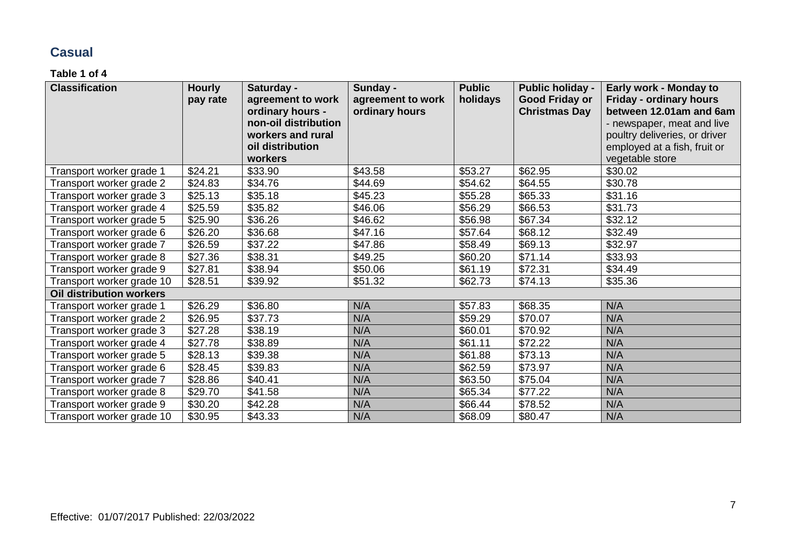## **Casual**

#### **Table 1 of 4**

| <b>Classification</b>           | <b>Hourly</b>       | Saturday -           | Sunday -          | <b>Public</b> | <b>Public holiday -</b> | Early work - Monday to         |
|---------------------------------|---------------------|----------------------|-------------------|---------------|-------------------------|--------------------------------|
|                                 | pay rate            | agreement to work    | agreement to work | holidays      | <b>Good Friday or</b>   | <b>Friday - ordinary hours</b> |
|                                 |                     | ordinary hours -     | ordinary hours    |               | <b>Christmas Day</b>    | between 12.01am and 6am        |
|                                 |                     | non-oil distribution |                   |               |                         | - newspaper, meat and live     |
|                                 |                     | workers and rural    |                   |               |                         | poultry deliveries, or driver  |
|                                 |                     | oil distribution     |                   |               |                         | employed at a fish, fruit or   |
|                                 |                     | workers              |                   |               |                         | vegetable store                |
| Transport worker grade 1        | \$24.21             | \$33.90              | \$43.58           | \$53.27       | \$62.95                 | \$30.02                        |
| Transport worker grade 2        | \$24.83             | \$34.76              | \$44.69           | \$54.62       | \$64.55                 | \$30.78                        |
| Transport worker grade 3        | \$25.13             | \$35.18              | \$45.23           | \$55.28       | \$65.33                 | \$31.16                        |
| Transport worker grade 4        | $\overline{$}25.59$ | \$35.82              | \$46.06           | \$56.29       | \$66.53                 | \$31.73                        |
| Transport worker grade 5        | \$25.90             | \$36.26              | \$46.62           | \$56.98       | \$67.34                 | \$32.12                        |
| Transport worker grade 6        | \$26.20             | \$36.68              | \$47.16           | \$57.64       | \$68.12                 | \$32.49                        |
| Transport worker grade 7        | \$26.59             | \$37.22              | \$47.86           | \$58.49       | \$69.13                 | \$32.97                        |
| Transport worker grade 8        | \$27.36             | \$38.31              | \$49.25           | \$60.20       | \$71.14                 | \$33.93                        |
| Transport worker grade 9        | \$27.81             | \$38.94              | \$50.06           | \$61.19       | \$72.31                 | \$34.49                        |
| Transport worker grade 10       | \$28.51             | \$39.92              | \$51.32           | \$62.73       | \$74.13                 | \$35.36                        |
| <b>Oil distribution workers</b> |                     |                      |                   |               |                         |                                |
| Transport worker grade 1        | \$26.29             | \$36.80              | N/A               | \$57.83       | \$68.35                 | N/A                            |
| Transport worker grade 2        | \$26.95             | \$37.73              | N/A               | \$59.29       | \$70.07                 | N/A                            |
| Transport worker grade 3        | \$27.28             | \$38.19              | N/A               | \$60.01       | \$70.92                 | N/A                            |
| Transport worker grade 4        | \$27.78             | \$38.89              | N/A               | \$61.11       | \$72.22                 | N/A                            |
| Transport worker grade 5        | \$28.13             | \$39.38              | N/A               | \$61.88       | \$73.13                 | N/A                            |
| Transport worker grade 6        | \$28.45             | \$39.83              | N/A               | \$62.59       | \$73.97                 | N/A                            |
| Transport worker grade 7        | \$28.86             | \$40.41              | N/A               | \$63.50       | \$75.04                 | N/A                            |
| Transport worker grade 8        | \$29.70             | \$41.58              | N/A               | \$65.34       | \$77.22                 | N/A                            |
| Transport worker grade 9        | \$30.20             | \$42.28              | N/A               | \$66.44       | \$78.52                 | N/A                            |
| Transport worker grade 10       | \$30.95             | \$43.33              | N/A               | \$68.09       | \$80.47                 | N/A                            |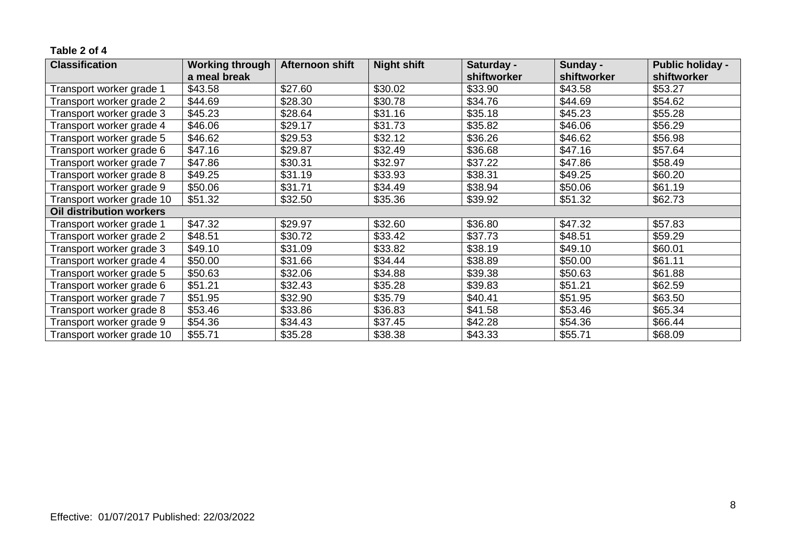#### **Table 2 of 4**

| <b>Classification</b>           | <b>Working through</b> | <b>Afternoon shift</b> | <b>Night shift</b> | Saturday -  | Sunday -    | <b>Public holiday -</b> |
|---------------------------------|------------------------|------------------------|--------------------|-------------|-------------|-------------------------|
|                                 | a meal break           |                        |                    | shiftworker | shiftworker | shiftworker             |
| Transport worker grade 1        | \$43.58                | \$27.60                | \$30.02            | \$33.90     | \$43.58     | \$53.27                 |
| Transport worker grade 2        | \$44.69                | \$28.30                | \$30.78            | \$34.76     | \$44.69     | \$54.62                 |
| Transport worker grade 3        | \$45.23                | \$28.64                | \$31.16            | \$35.18     | \$45.23     | \$55.28                 |
| Transport worker grade 4        | \$46.06                | \$29.17                | \$31.73            | \$35.82     | \$46.06     | \$56.29                 |
| Transport worker grade 5        | \$46.62                | \$29.53                | \$32.12            | \$36.26     | \$46.62     | \$56.98                 |
| Transport worker grade 6        | \$47.16                | \$29.87                | \$32.49            | \$36.68     | \$47.16     | \$57.64                 |
| Transport worker grade 7        | \$47.86                | \$30.31                | \$32.97            | \$37.22     | \$47.86     | \$58.49                 |
| Transport worker grade 8        | \$49.25                | \$31.19                | \$33.93            | \$38.31     | \$49.25     | \$60.20                 |
| Transport worker grade 9        | \$50.06                | \$31.71                | \$34.49            | \$38.94     | \$50.06     | \$61.19                 |
| Transport worker grade 10       | \$51.32                | \$32.50                | \$35.36            | \$39.92     | \$51.32     | \$62.73                 |
| <b>Oil distribution workers</b> |                        |                        |                    |             |             |                         |
| Transport worker grade 1        | \$47.32                | \$29.97                | \$32.60            | \$36.80     | \$47.32     | \$57.83                 |
| Transport worker grade 2        | \$48.51                | \$30.72                | \$33.42            | \$37.73     | \$48.51     | \$59.29                 |
| Transport worker grade 3        | \$49.10                | \$31.09                | \$33.82            | \$38.19     | \$49.10     | \$60.01                 |
| Transport worker grade 4        | \$50.00                | \$31.66                | \$34.44            | \$38.89     | \$50.00     | \$61.11                 |
| Transport worker grade 5        | \$50.63                | \$32.06                | \$34.88            | \$39.38     | \$50.63     | \$61.88                 |
| Transport worker grade 6        | \$51.21                | \$32.43                | \$35.28            | \$39.83     | \$51.21     | \$62.59                 |
| Transport worker grade 7        | \$51.95                | \$32.90                | \$35.79            | \$40.41     | \$51.95     | \$63.50                 |
| Transport worker grade 8        | \$53.46                | \$33.86                | \$36.83            | \$41.58     | \$53.46     | \$65.34                 |
| Transport worker grade 9        | \$54.36                | \$34.43                | \$37.45            | \$42.28     | \$54.36     | \$66.44                 |
| Transport worker grade 10       | \$55.71                | \$35.28                | \$38.38            | \$43.33     | \$55.71     | \$68.09                 |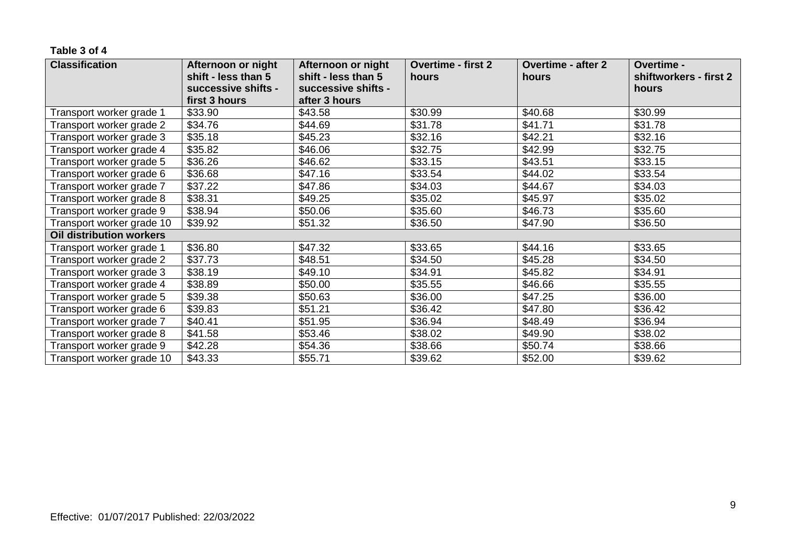#### **Table 3 of 4**

| <b>Classification</b>           | Afternoon or night<br>shift - less than 5 | Afternoon or night<br>shift - less than 5 | <b>Overtime - first 2</b><br>hours | <b>Overtime - after 2</b><br>hours | Overtime -<br>shiftworkers - first 2 |
|---------------------------------|-------------------------------------------|-------------------------------------------|------------------------------------|------------------------------------|--------------------------------------|
|                                 | successive shifts -                       | successive shifts -                       |                                    |                                    | hours                                |
|                                 | first 3 hours                             | after 3 hours                             |                                    |                                    |                                      |
| Transport worker grade 1        | \$33.90                                   | \$43.58                                   | \$30.99                            | \$40.68                            | \$30.99                              |
| Transport worker grade 2        | \$34.76                                   | \$44.69                                   | \$31.78                            | \$41.71                            | \$31.78                              |
| Transport worker grade 3        | \$35.18                                   | \$45.23                                   | \$32.16                            | \$42.21                            | \$32.16                              |
| Transport worker grade 4        | \$35.82                                   | \$46.06                                   | \$32.75                            | \$42.99                            | \$32.75                              |
| Transport worker grade 5        | \$36.26                                   | \$46.62                                   | \$33.15                            | \$43.51                            | \$33.15                              |
| Transport worker grade 6        | \$36.68                                   | \$47.16                                   | \$33.54                            | \$44.02                            | \$33.54                              |
| Transport worker grade 7        | \$37.22                                   | \$47.86                                   | \$34.03                            | \$44.67                            | \$34.03                              |
| Transport worker grade 8        | \$38.31                                   | \$49.25                                   | \$35.02                            | \$45.97                            | \$35.02                              |
| Transport worker grade 9        | \$38.94                                   | \$50.06                                   | \$35.60                            | \$46.73                            | \$35.60                              |
| Transport worker grade 10       | \$39.92                                   | \$51.32                                   | \$36.50                            | \$47.90                            | \$36.50                              |
| <b>Oil distribution workers</b> |                                           |                                           |                                    |                                    |                                      |
| Transport worker grade 1        | \$36.80                                   | \$47.32                                   | \$33.65                            | \$44.16                            | \$33.65                              |
| Transport worker grade 2        | \$37.73                                   | \$48.51                                   | \$34.50                            | \$45.28                            | \$34.50                              |
| Transport worker grade 3        | \$38.19                                   | \$49.10                                   | \$34.91                            | \$45.82                            | \$34.91                              |
| Transport worker grade 4        | \$38.89                                   | \$50.00                                   | \$35.55                            | \$46.66                            | \$35.55                              |
| Transport worker grade 5        | \$39.38                                   | \$50.63                                   | \$36.00                            | \$47.25                            | \$36.00                              |
| Transport worker grade 6        | \$39.83                                   | \$51.21                                   | \$36.42                            | \$47.80                            | \$36.42                              |
| Transport worker grade 7        | \$40.41                                   | \$51.95                                   | \$36.94                            | \$48.49                            | \$36.94                              |
| Transport worker grade 8        | \$41.58                                   | \$53.46                                   | \$38.02                            | \$49.90                            | \$38.02                              |
| Transport worker grade 9        | \$42.28                                   | \$54.36                                   | \$38.66                            | \$50.74                            | \$38.66                              |
| Transport worker grade 10       | \$43.33                                   | \$55.71                                   | \$39.62                            | \$52.00                            | \$39.62                              |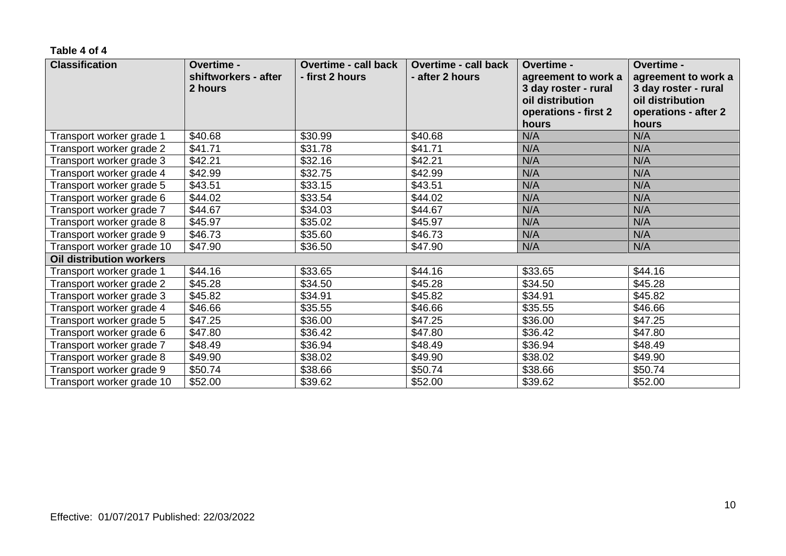#### **Table 4 of 4**

| <b>Classification</b>     | <b>Overtime -</b><br>shiftworkers - after<br>2 hours | <b>Overtime - call back</b><br>- first 2 hours | <b>Overtime - call back</b><br>- after 2 hours | Overtime -<br>agreement to work a<br>3 day roster - rural<br>oil distribution<br>operations - first 2<br>hours | Overtime -<br>agreement to work a<br>3 day roster - rural<br>oil distribution<br>operations - after 2<br>hours |
|---------------------------|------------------------------------------------------|------------------------------------------------|------------------------------------------------|----------------------------------------------------------------------------------------------------------------|----------------------------------------------------------------------------------------------------------------|
| Transport worker grade 1  | \$40.68                                              | \$30.99                                        | \$40.68                                        | N/A                                                                                                            | N/A                                                                                                            |
| Transport worker grade 2  | \$41.71                                              | \$31.78                                        | \$41.71                                        | N/A                                                                                                            | N/A                                                                                                            |
| Transport worker grade 3  | \$42.21                                              | \$32.16                                        | \$42.21                                        | N/A                                                                                                            | N/A                                                                                                            |
| Transport worker grade 4  | \$42.99                                              | \$32.75                                        | \$42.99                                        | N/A                                                                                                            | N/A                                                                                                            |
| Transport worker grade 5  | \$43.51                                              | \$33.15                                        | \$43.51                                        | N/A                                                                                                            | N/A                                                                                                            |
| Transport worker grade 6  | \$44.02                                              | \$33.54                                        | \$44.02                                        | N/A                                                                                                            | N/A                                                                                                            |
| Transport worker grade 7  | \$44.67                                              | \$34.03                                        | \$44.67                                        | N/A                                                                                                            | N/A                                                                                                            |
| Transport worker grade 8  | \$45.97                                              | \$35.02                                        | \$45.97                                        | N/A                                                                                                            | N/A                                                                                                            |
| Transport worker grade 9  | \$46.73                                              | \$35.60                                        | \$46.73                                        | N/A                                                                                                            | N/A                                                                                                            |
| Transport worker grade 10 | \$47.90                                              | \$36.50                                        | \$47.90                                        | N/A                                                                                                            | N/A                                                                                                            |
| Oil distribution workers  |                                                      |                                                |                                                |                                                                                                                |                                                                                                                |
| Transport worker grade 1  | \$44.16                                              | \$33.65                                        | \$44.16                                        | \$33.65                                                                                                        | \$44.16                                                                                                        |
| Transport worker grade 2  | \$45.28                                              | \$34.50                                        | \$45.28                                        | \$34.50                                                                                                        | \$45.28                                                                                                        |
| Transport worker grade 3  | \$45.82                                              | \$34.91                                        | \$45.82                                        | \$34.91                                                                                                        | \$45.82                                                                                                        |
| Transport worker grade 4  | \$46.66                                              | \$35.55                                        | \$46.66                                        | \$35.55                                                                                                        | \$46.66                                                                                                        |
| Transport worker grade 5  | \$47.25                                              | \$36.00                                        | \$47.25                                        | \$36.00                                                                                                        | \$47.25                                                                                                        |
| Transport worker grade 6  | \$47.80                                              | \$36.42                                        | \$47.80                                        | \$36.42                                                                                                        | \$47.80                                                                                                        |
| Transport worker grade 7  | \$48.49                                              | \$36.94                                        | \$48.49                                        | \$36.94                                                                                                        | \$48.49                                                                                                        |
| Transport worker grade 8  | \$49.90                                              | \$38.02                                        | \$49.90                                        | \$38.02                                                                                                        | \$49.90                                                                                                        |
| Transport worker grade 9  | \$50.74                                              | \$38.66                                        | \$50.74                                        | \$38.66                                                                                                        | \$50.74                                                                                                        |
| Transport worker grade 10 | \$52.00                                              | \$39.62                                        | \$52.00                                        | \$39.62                                                                                                        | \$52.00                                                                                                        |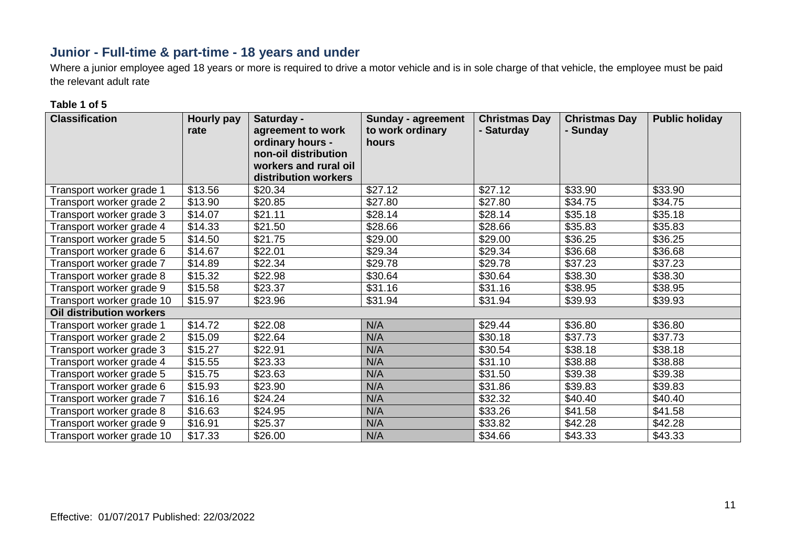## **Junior - Full-time & part-time - 18 years and under**

Where a junior employee aged 18 years or more is required to drive a motor vehicle and is in sole charge of that vehicle, the employee must be paid the relevant adult rate

#### **Table 1 of 5**

| <b>Classification</b>     | <b>Hourly pay</b><br>rate | Saturday -<br>agreement to work<br>ordinary hours -<br>non-oil distribution<br>workers and rural oil<br>distribution workers | Sunday - agreement<br>to work ordinary<br>hours | <b>Christmas Day</b><br>- Saturday | <b>Christmas Day</b><br>- Sunday | <b>Public holiday</b> |
|---------------------------|---------------------------|------------------------------------------------------------------------------------------------------------------------------|-------------------------------------------------|------------------------------------|----------------------------------|-----------------------|
| Transport worker grade 1  | \$13.56                   | \$20.34                                                                                                                      | \$27.12                                         | \$27.12                            | \$33.90                          | \$33.90               |
| Transport worker grade 2  | \$13.90                   | \$20.85                                                                                                                      | \$27.80                                         | \$27.80                            | \$34.75                          | \$34.75               |
| Transport worker grade 3  | \$14.07                   | \$21.11                                                                                                                      | \$28.14                                         | \$28.14                            | \$35.18                          | \$35.18               |
| Transport worker grade 4  | \$14.33                   | \$21.50                                                                                                                      | \$28.66                                         | \$28.66                            | \$35.83                          | \$35.83               |
| Transport worker grade 5  | \$14.50                   | \$21.75                                                                                                                      | \$29.00                                         | \$29.00                            | \$36.25                          | \$36.25               |
| Transport worker grade 6  | \$14.67                   | \$22.01                                                                                                                      | \$29.34                                         | \$29.34                            | \$36.68                          | \$36.68               |
| Transport worker grade 7  | \$14.89                   | \$22.34                                                                                                                      | \$29.78                                         | \$29.78                            | \$37.23                          | \$37.23               |
| Transport worker grade 8  | \$15.32                   | \$22.98                                                                                                                      | \$30.64                                         | \$30.64                            | \$38.30                          | \$38.30               |
| Transport worker grade 9  | \$15.58                   | \$23.37                                                                                                                      | \$31.16                                         | \$31.16                            | \$38.95                          | \$38.95               |
| Transport worker grade 10 | \$15.97                   | \$23.96                                                                                                                      | \$31.94                                         | \$31.94                            | \$39.93                          | \$39.93               |
| Oil distribution workers  |                           |                                                                                                                              |                                                 |                                    |                                  |                       |
| Transport worker grade 1  | \$14.72                   | \$22.08                                                                                                                      | N/A                                             | \$29.44                            | \$36.80                          | \$36.80               |
| Transport worker grade 2  | \$15.09                   | \$22.64                                                                                                                      | N/A                                             | \$30.18                            | \$37.73                          | \$37.73               |
| Transport worker grade 3  | \$15.27                   | \$22.91                                                                                                                      | N/A                                             | \$30.54                            | \$38.18                          | \$38.18               |
| Transport worker grade 4  | \$15.55                   | \$23.33                                                                                                                      | N/A                                             | \$31.10                            | \$38.88                          | \$38.88               |
| Transport worker grade 5  | \$15.75                   | \$23.63                                                                                                                      | N/A                                             | \$31.50                            | \$39.38                          | \$39.38               |
| Transport worker grade 6  | \$15.93                   | \$23.90                                                                                                                      | N/A                                             | \$31.86                            | \$39.83                          | \$39.83               |
| Transport worker grade 7  | \$16.16                   | \$24.24                                                                                                                      | N/A                                             | \$32.32                            | \$40.40                          | \$40.40               |
| Transport worker grade 8  | \$16.63                   | \$24.95                                                                                                                      | N/A                                             | \$33.26                            | \$41.58                          | \$41.58               |
| Transport worker grade 9  | \$16.91                   | \$25.37                                                                                                                      | N/A                                             | \$33.82                            | \$42.28                          | \$42.28               |
| Transport worker grade 10 | \$17.33                   | \$26.00                                                                                                                      | N/A                                             | \$34.66                            | \$43.33                          | \$43.33               |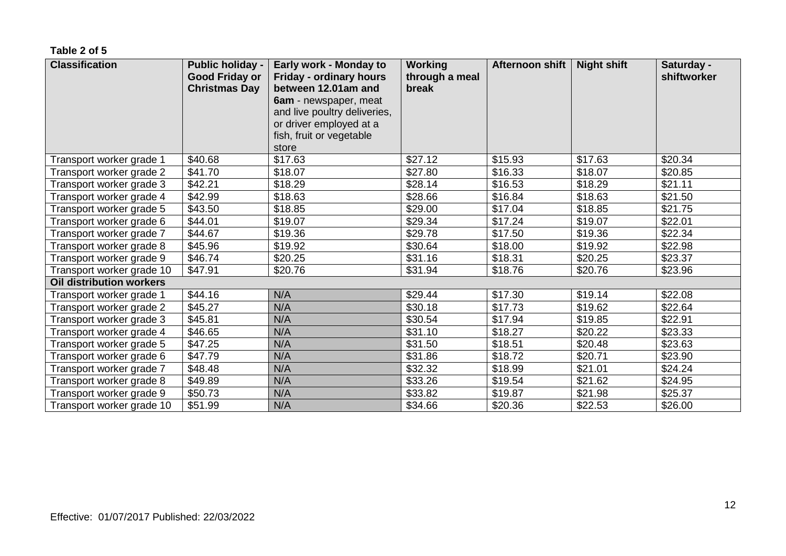**Table 2 of 5**

| <b>Classification</b>           | <b>Public holiday -</b><br><b>Good Friday or</b><br><b>Christmas Day</b> | Early work - Monday to<br>Friday - ordinary hours<br>between 12.01am and<br>6am - newspaper, meat<br>and live poultry deliveries,<br>or driver employed at a<br>fish, fruit or vegetable<br>store | <b>Working</b><br>through a meal<br>break | <b>Afternoon shift</b> | <b>Night shift</b> | Saturday -<br>shiftworker |
|---------------------------------|--------------------------------------------------------------------------|---------------------------------------------------------------------------------------------------------------------------------------------------------------------------------------------------|-------------------------------------------|------------------------|--------------------|---------------------------|
| Transport worker grade 1        | \$40.68                                                                  | \$17.63                                                                                                                                                                                           | \$27.12                                   | \$15.93                | \$17.63            | \$20.34                   |
| Transport worker grade 2        | \$41.70                                                                  | \$18.07                                                                                                                                                                                           | \$27.80                                   | \$16.33                | \$18.07            | \$20.85                   |
| Transport worker grade 3        | \$42.21                                                                  | \$18.29                                                                                                                                                                                           | \$28.14                                   | \$16.53                | \$18.29            | \$21.11                   |
| Transport worker grade 4        | \$42.99                                                                  | \$18.63                                                                                                                                                                                           | \$28.66                                   | \$16.84                | \$18.63            | \$21.50                   |
| Transport worker grade 5        | \$43.50                                                                  | \$18.85                                                                                                                                                                                           | \$29.00                                   | \$17.04                | \$18.85            | \$21.75                   |
| Transport worker grade 6        | \$44.01                                                                  | \$19.07                                                                                                                                                                                           | \$29.34                                   | \$17.24                | \$19.07            | \$22.01                   |
| Transport worker grade 7        | \$44.67                                                                  | \$19.36                                                                                                                                                                                           | \$29.78                                   | \$17.50                | \$19.36            | \$22.34                   |
| Transport worker grade 8        | \$45.96                                                                  | \$19.92                                                                                                                                                                                           | \$30.64                                   | \$18.00                | \$19.92            | \$22.98                   |
| Transport worker grade 9        | \$46.74                                                                  | \$20.25                                                                                                                                                                                           | \$31.16                                   | \$18.31                | \$20.25            | \$23.37                   |
| Transport worker grade 10       | \$47.91                                                                  | \$20.76                                                                                                                                                                                           | \$31.94                                   | \$18.76                | \$20.76            | \$23.96                   |
| <b>Oil distribution workers</b> |                                                                          |                                                                                                                                                                                                   |                                           |                        |                    |                           |
| Transport worker grade 1        | \$44.16                                                                  | N/A                                                                                                                                                                                               | \$29.44                                   | \$17.30                | \$19.14            | \$22.08                   |
| Transport worker grade 2        | \$45.27                                                                  | N/A                                                                                                                                                                                               | \$30.18                                   | \$17.73                | \$19.62            | \$22.64                   |
| Transport worker grade 3        | \$45.81                                                                  | N/A                                                                                                                                                                                               | \$30.54                                   | \$17.94                | \$19.85            | \$22.91                   |
| Transport worker grade 4        | \$46.65                                                                  | N/A                                                                                                                                                                                               | \$31.10                                   | \$18.27                | \$20.22            | \$23.33                   |
| Transport worker grade 5        | \$47.25                                                                  | N/A                                                                                                                                                                                               | \$31.50                                   | \$18.51                | \$20.48            | \$23.63                   |
| Transport worker grade 6        | \$47.79                                                                  | N/A                                                                                                                                                                                               | \$31.86                                   | \$18.72                | \$20.71            | \$23.90                   |
| Transport worker grade 7        | \$48.48                                                                  | N/A                                                                                                                                                                                               | \$32.32                                   | \$18.99                | \$21.01            | \$24.24                   |
| Transport worker grade 8        | \$49.89                                                                  | N/A                                                                                                                                                                                               | \$33.26                                   | \$19.54                | \$21.62            | \$24.95                   |
| Transport worker grade 9        | \$50.73                                                                  | N/A                                                                                                                                                                                               | \$33.82                                   | \$19.87                | \$21.98            | \$25.37                   |
| Transport worker grade 10       | \$51.99                                                                  | N/A                                                                                                                                                                                               | \$34.66                                   | \$20.36                | \$22.53            | \$26.00                   |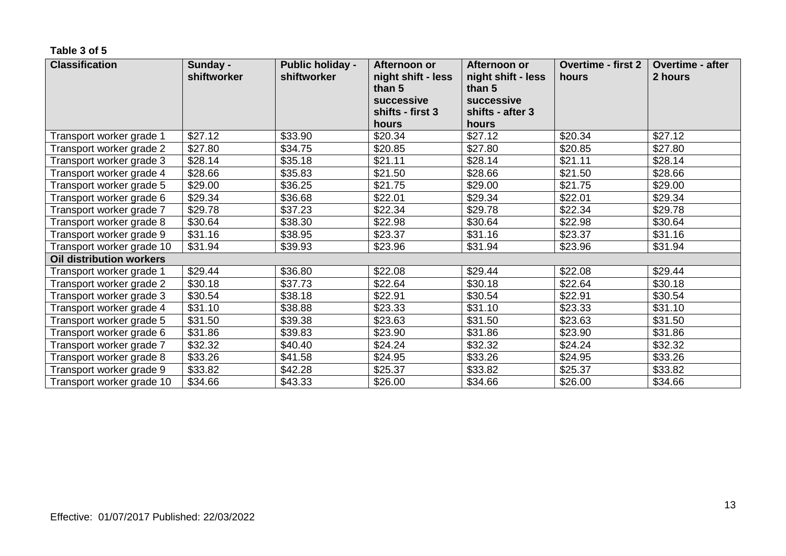#### **Table 3 of 5**

| <b>Classification</b>           | Sunday -<br>shiftworker | <b>Public holiday -</b><br>shiftworker | Afternoon or<br>night shift - less<br>than 5<br>successive | Afternoon or<br>night shift - less<br>than 5<br>successive | <b>Overtime - first 2</b><br>hours | <b>Overtime - after</b><br>2 hours |
|---------------------------------|-------------------------|----------------------------------------|------------------------------------------------------------|------------------------------------------------------------|------------------------------------|------------------------------------|
|                                 |                         |                                        | shifts - first 3                                           | shifts - after 3                                           |                                    |                                    |
|                                 |                         |                                        | hours                                                      | hours                                                      |                                    |                                    |
| Transport worker grade 1        | \$27.12                 | \$33.90                                | \$20.34                                                    | \$27.12                                                    | \$20.34                            | \$27.12                            |
| Transport worker grade 2        | \$27.80                 | \$34.75                                | \$20.85                                                    | \$27.80                                                    | \$20.85                            | \$27.80                            |
| Transport worker grade 3        | \$28.14                 | \$35.18                                | \$21.11                                                    | \$28.14                                                    | \$21.11                            | \$28.14                            |
| Transport worker grade 4        | \$28.66                 | \$35.83                                | \$21.50                                                    | \$28.66                                                    | \$21.50                            | \$28.66                            |
| Transport worker grade 5        | \$29.00                 | \$36.25                                | \$21.75                                                    | \$29.00                                                    | \$21.75                            | \$29.00                            |
| Transport worker grade 6        | \$29.34                 | \$36.68                                | \$22.01                                                    | \$29.34                                                    | \$22.01                            | \$29.34                            |
| Transport worker grade 7        | \$29.78                 | \$37.23                                | \$22.34                                                    | \$29.78                                                    | \$22.34                            | \$29.78                            |
| Transport worker grade 8        | \$30.64                 | \$38.30                                | \$22.98                                                    | \$30.64                                                    | \$22.98                            | \$30.64                            |
| Transport worker grade 9        | \$31.16                 | \$38.95                                | \$23.37                                                    | \$31.16                                                    | \$23.37                            | \$31.16                            |
| Transport worker grade 10       | \$31.94                 | \$39.93                                | \$23.96                                                    | \$31.94                                                    | \$23.96                            | \$31.94                            |
| <b>Oil distribution workers</b> |                         |                                        |                                                            |                                                            |                                    |                                    |
| Transport worker grade 1        | \$29.44                 | \$36.80                                | \$22.08                                                    | \$29.44                                                    | \$22.08                            | \$29.44                            |
| Transport worker grade 2        | \$30.18                 | \$37.73                                | \$22.64                                                    | \$30.18                                                    | \$22.64                            | \$30.18                            |
| Transport worker grade 3        | \$30.54                 | \$38.18                                | \$22.91                                                    | \$30.54                                                    | \$22.91                            | \$30.54                            |
| Transport worker grade 4        | \$31.10                 | \$38.88                                | \$23.33                                                    | \$31.10                                                    | \$23.33                            | \$31.10                            |
| Transport worker grade 5        | \$31.50                 | \$39.38                                | \$23.63                                                    | \$31.50                                                    | \$23.63                            | \$31.50                            |
| Transport worker grade 6        | \$31.86                 | \$39.83                                | \$23.90                                                    | \$31.86                                                    | \$23.90                            | \$31.86                            |
| Transport worker grade 7        | \$32.32                 | \$40.40                                | \$24.24                                                    | \$32.32                                                    | \$24.24                            | \$32.32                            |
| Transport worker grade 8        | \$33.26                 | \$41.58                                | \$24.95                                                    | \$33.26                                                    | \$24.95                            | \$33.26                            |
| Transport worker grade 9        | \$33.82                 | \$42.28                                | \$25.37                                                    | \$33.82                                                    | \$25.37                            | \$33.82                            |
| Transport worker grade 10       | \$34.66                 | \$43.33                                | \$26.00                                                    | \$34.66                                                    | \$26.00                            | \$34.66                            |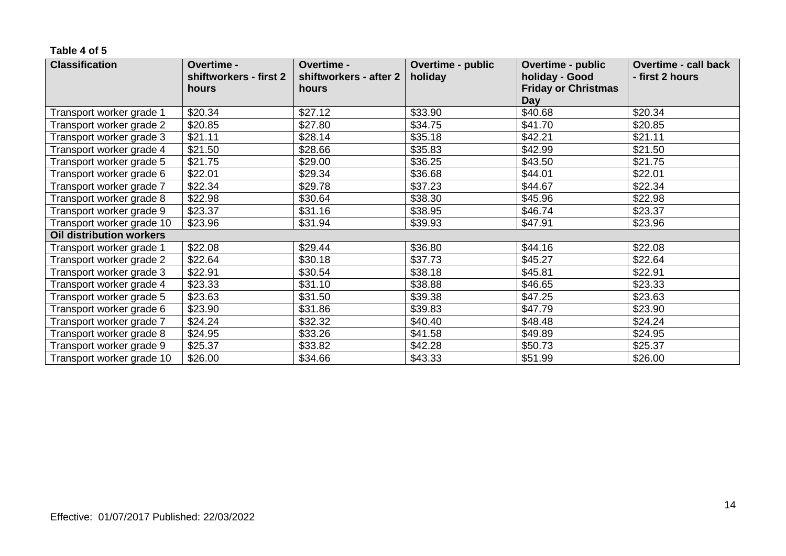#### **Table 4 of 5**

| <b>Classification</b>     | Overtime -<br>shiftworkers - first 2 | Overtime -<br>shiftworkers - after 2 | Overtime - public<br>holiday | Overtime - public<br>holiday - Good | <b>Overtime - call back</b><br>- first 2 hours |
|---------------------------|--------------------------------------|--------------------------------------|------------------------------|-------------------------------------|------------------------------------------------|
|                           | hours                                | hours                                |                              | <b>Friday or Christmas</b>          |                                                |
|                           |                                      |                                      |                              | <b>Day</b>                          |                                                |
| Transport worker grade 1  | \$20.34                              | \$27.12                              | \$33.90                      | \$40.68                             | \$20.34                                        |
| Transport worker grade 2  | \$20.85                              | \$27.80                              | \$34.75                      | \$41.70                             | \$20.85                                        |
| Transport worker grade 3  | \$21.11                              | \$28.14                              | \$35.18                      | \$42.21                             | \$21.11                                        |
| Transport worker grade 4  | \$21.50                              | \$28.66                              | \$35.83                      | \$42.99                             | \$21.50                                        |
| Transport worker grade 5  | \$21.75                              | \$29.00                              | \$36.25                      | \$43.50                             | \$21.75                                        |
| Transport worker grade 6  | \$22.01                              | \$29.34                              | \$36.68                      | \$44.01                             | \$22.01                                        |
| Transport worker grade 7  | \$22.34                              | \$29.78                              | \$37.23                      | \$44.67                             | \$22.34                                        |
| Transport worker grade 8  | \$22.98                              | \$30.64                              | \$38.30                      | \$45.96                             | \$22.98                                        |
| Transport worker grade 9  | \$23.37                              | \$31.16                              | \$38.95                      | \$46.74                             | \$23.37                                        |
| Transport worker grade 10 | \$23.96                              | \$31.94                              | \$39.93                      | \$47.91                             | \$23.96                                        |
| Oil distribution workers  |                                      |                                      |                              |                                     |                                                |
| Transport worker grade 1  | \$22.08                              | \$29.44                              | \$36.80                      | \$44.16                             | \$22.08                                        |
| Transport worker grade 2  | \$22.64                              | \$30.18                              | \$37.73                      | \$45.27                             | \$22.64                                        |
| Transport worker grade 3  | \$22.91                              | \$30.54                              | \$38.18                      | \$45.81                             | \$22.91                                        |
| Transport worker grade 4  | \$23.33                              | \$31.10                              | \$38.88                      | \$46.65                             | \$23.33                                        |
| Transport worker grade 5  | \$23.63                              | \$31.50                              | \$39.38                      | \$47.25                             | \$23.63                                        |
| Transport worker grade 6  | \$23.90                              | \$31.86                              | \$39.83                      | \$47.79                             | \$23.90                                        |
| Transport worker grade 7  | \$24.24                              | \$32.32                              | \$40.40                      | \$48.48                             | \$24.24                                        |
| Transport worker grade 8  | \$24.95                              | \$33.26                              | \$41.58                      | \$49.89                             | \$24.95                                        |
| Transport worker grade 9  | \$25.37                              | \$33.82                              | \$42.28                      | \$50.73                             | \$25.37                                        |
| Transport worker grade 10 | \$26.00                              | \$34.66                              | \$43.33                      | \$51.99                             | \$26.00                                        |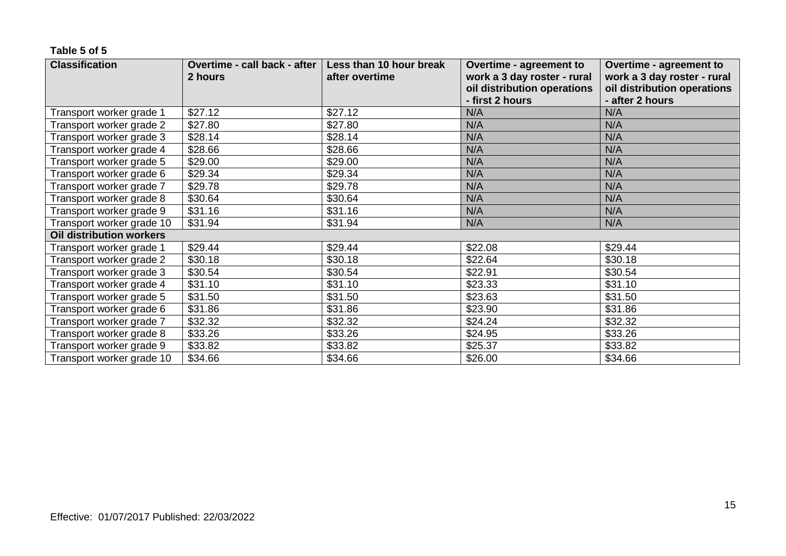#### **Table 5 of 5**

| <b>Classification</b>     | Overtime - call back - after | Less than 10 hour break | Overtime - agreement to                        | Overtime - agreement to                        |
|---------------------------|------------------------------|-------------------------|------------------------------------------------|------------------------------------------------|
|                           | 2 hours                      | after overtime          | work a 3 day roster - rural                    | work a 3 day roster - rural                    |
|                           |                              |                         | oil distribution operations<br>- first 2 hours | oil distribution operations<br>- after 2 hours |
| Transport worker grade 1  | \$27.12                      | \$27.12                 | N/A                                            | N/A                                            |
| Transport worker grade 2  | \$27.80                      | \$27.80                 | N/A                                            | N/A                                            |
| Transport worker grade 3  | \$28.14                      | \$28.14                 | N/A                                            | N/A                                            |
| Transport worker grade 4  | \$28.66                      | \$28.66                 | N/A                                            | N/A                                            |
| Transport worker grade 5  | \$29.00                      | \$29.00                 | N/A                                            | N/A                                            |
| Transport worker grade 6  | \$29.34                      | \$29.34                 | N/A                                            | N/A                                            |
| Transport worker grade 7  | \$29.78                      | \$29.78                 | N/A                                            | N/A                                            |
| Transport worker grade 8  | \$30.64                      | \$30.64                 | N/A                                            | N/A                                            |
| Transport worker grade 9  | \$31.16                      | \$31.16                 | N/A                                            | N/A                                            |
| Transport worker grade 10 | \$31.94                      | \$31.94                 | N/A                                            | N/A                                            |
| Oil distribution workers  |                              |                         |                                                |                                                |
| Transport worker grade 1  | \$29.44                      | \$29.44                 | \$22.08                                        | \$29.44                                        |
| Transport worker grade 2  | \$30.18                      | \$30.18                 | \$22.64                                        | \$30.18                                        |
| Transport worker grade 3  | \$30.54                      | \$30.54                 | \$22.91                                        | \$30.54                                        |
| Transport worker grade 4  | \$31.10                      | \$31.10                 | \$23.33                                        | \$31.10                                        |
| Transport worker grade 5  | \$31.50                      | \$31.50                 | \$23.63                                        | \$31.50                                        |
| Transport worker grade 6  | \$31.86                      | \$31.86                 | \$23.90                                        | \$31.86                                        |
| Transport worker grade 7  | \$32.32                      | \$32.32                 | \$24.24                                        | \$32.32                                        |
| Transport worker grade 8  | \$33.26                      | \$33.26                 | \$24.95                                        | \$33.26                                        |
| Transport worker grade 9  | \$33.82                      | \$33.82                 | \$25.37                                        | \$33.82                                        |
| Transport worker grade 10 | \$34.66                      | \$34.66                 | \$26.00                                        | \$34.66                                        |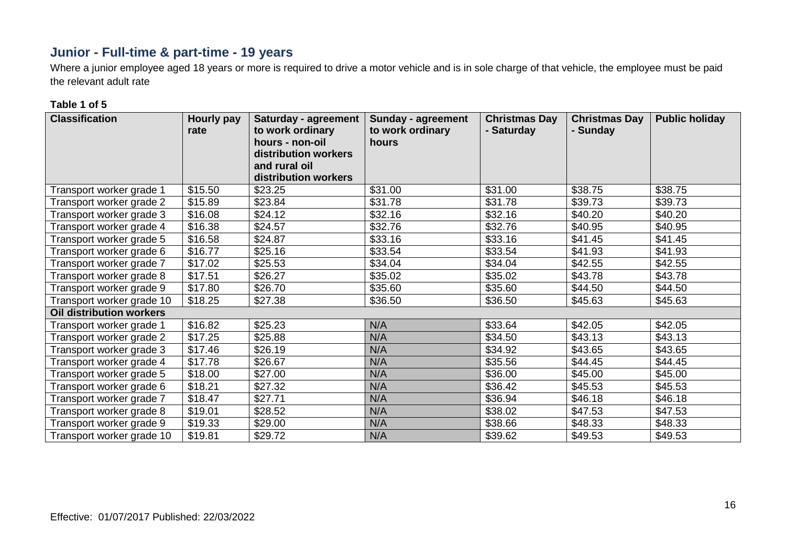# **Junior - Full-time & part-time - 19 years**

Where a junior employee aged 18 years or more is required to drive a motor vehicle and is in sole charge of that vehicle, the employee must be paid the relevant adult rate

#### **Table 1 of 5**

| <b>Classification</b>     | <b>Hourly pay</b><br>rate | <b>Saturday - agreement</b><br>to work ordinary<br>hours - non-oil<br>distribution workers<br>and rural oil<br>distribution workers | <b>Sunday - agreement</b><br>to work ordinary<br>hours | <b>Christmas Day</b><br>- Saturday | <b>Christmas Day</b><br>- Sunday | <b>Public holiday</b> |
|---------------------------|---------------------------|-------------------------------------------------------------------------------------------------------------------------------------|--------------------------------------------------------|------------------------------------|----------------------------------|-----------------------|
| Transport worker grade 1  | \$15.50                   | \$23.25                                                                                                                             | \$31.00                                                | \$31.00                            | \$38.75                          | \$38.75               |
| Transport worker grade 2  | \$15.89                   | \$23.84                                                                                                                             | \$31.78                                                | \$31.78                            | \$39.73                          | \$39.73               |
| Transport worker grade 3  | \$16.08                   | \$24.12                                                                                                                             | \$32.16                                                | \$32.16                            | \$40.20                          | \$40.20               |
| Transport worker grade 4  | \$16.38                   | \$24.57                                                                                                                             | \$32.76                                                | \$32.76                            | \$40.95                          | \$40.95               |
| Transport worker grade 5  | \$16.58                   | \$24.87                                                                                                                             | \$33.16                                                | \$33.16                            | \$41.45                          | \$41.45               |
| Transport worker grade 6  | \$16.77                   | \$25.16                                                                                                                             | \$33.54                                                | \$33.54                            | \$41.93                          | \$41.93               |
| Transport worker grade 7  | \$17.02                   | \$25.53                                                                                                                             | \$34.04                                                | \$34.04                            | \$42.55                          | \$42.55               |
| Transport worker grade 8  | \$17.51                   | \$26.27                                                                                                                             | \$35.02                                                | \$35.02                            | \$43.78                          | \$43.78               |
| Transport worker grade 9  | \$17.80                   | \$26.70                                                                                                                             | \$35.60                                                | \$35.60                            | \$44.50                          | \$44.50               |
| Transport worker grade 10 | \$18.25                   | \$27.38                                                                                                                             | \$36.50                                                | \$36.50                            | \$45.63                          | \$45.63               |
| Oil distribution workers  |                           |                                                                                                                                     |                                                        |                                    |                                  |                       |
| Transport worker grade 1  | \$16.82                   | \$25.23                                                                                                                             | N/A                                                    | \$33.64                            | \$42.05                          | \$42.05               |
| Transport worker grade 2  | \$17.25                   | \$25.88                                                                                                                             | N/A                                                    | \$34.50                            | \$43.13                          | \$43.13               |
| Transport worker grade 3  | \$17.46                   | \$26.19                                                                                                                             | N/A                                                    | \$34.92                            | \$43.65                          | \$43.65               |
| Transport worker grade 4  | \$17.78                   | \$26.67                                                                                                                             | N/A                                                    | \$35.56                            | \$44.45                          | \$44.45               |
| Transport worker grade 5  | \$18.00                   | \$27.00                                                                                                                             | N/A                                                    | \$36.00                            | \$45.00                          | \$45.00               |
| Transport worker grade 6  | \$18.21                   | \$27.32                                                                                                                             | N/A                                                    | \$36.42                            | \$45.53                          | \$45.53               |
| Transport worker grade 7  | \$18.47                   | \$27.71                                                                                                                             | N/A                                                    | \$36.94                            | \$46.18                          | \$46.18               |
| Transport worker grade 8  | \$19.01                   | \$28.52                                                                                                                             | N/A                                                    | \$38.02                            | \$47.53                          | \$47.53               |
| Transport worker grade 9  | \$19.33                   | \$29.00                                                                                                                             | N/A                                                    | \$38.66                            | \$48.33                          | \$48.33               |
| Transport worker grade 10 | \$19.81                   | \$29.72                                                                                                                             | N/A                                                    | \$39.62                            | \$49.53                          | \$49.53               |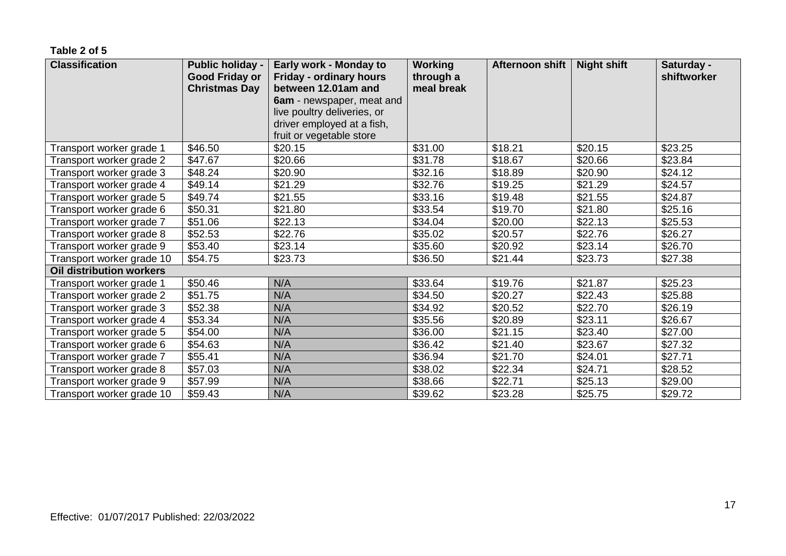#### **Table 2 of 5**

| <b>Classification</b>           | <b>Public holiday -</b><br><b>Good Friday or</b><br><b>Christmas Day</b> | Early work - Monday to<br>Friday - ordinary hours<br>between 12.01am and<br>6am - newspaper, meat and | <b>Working</b><br>through a<br>meal break | Afternoon shift | <b>Night shift</b> | Saturday -<br>shiftworker |
|---------------------------------|--------------------------------------------------------------------------|-------------------------------------------------------------------------------------------------------|-------------------------------------------|-----------------|--------------------|---------------------------|
|                                 |                                                                          | live poultry deliveries, or                                                                           |                                           |                 |                    |                           |
|                                 |                                                                          | driver employed at a fish,<br>fruit or vegetable store                                                |                                           |                 |                    |                           |
| Transport worker grade 1        | \$46.50                                                                  | \$20.15                                                                                               | \$31.00                                   | \$18.21         | \$20.15            | \$23.25                   |
| Transport worker grade 2        | \$47.67                                                                  | \$20.66                                                                                               | \$31.78                                   | \$18.67         | \$20.66            | \$23.84                   |
| Transport worker grade 3        | \$48.24                                                                  | \$20.90                                                                                               | \$32.16                                   | \$18.89         | \$20.90            | \$24.12                   |
| Transport worker grade 4        | \$49.14                                                                  | \$21.29                                                                                               | \$32.76                                   | \$19.25         | \$21.29            | \$24.57                   |
| Transport worker grade 5        | \$49.74                                                                  | \$21.55                                                                                               | \$33.16                                   | \$19.48         | \$21.55            | \$24.87                   |
| Transport worker grade 6        | \$50.31                                                                  | \$21.80                                                                                               | \$33.54                                   | \$19.70         | \$21.80            | \$25.16                   |
| Transport worker grade 7        | \$51.06                                                                  | \$22.13                                                                                               | \$34.04                                   | \$20.00         | \$22.13            | \$25.53                   |
| Transport worker grade 8        | \$52.53                                                                  | \$22.76                                                                                               | \$35.02                                   | \$20.57         | \$22.76            | \$26.27                   |
| Transport worker grade 9        | \$53.40                                                                  | \$23.14                                                                                               | \$35.60                                   | \$20.92         | \$23.14            | \$26.70                   |
| Transport worker grade 10       | \$54.75                                                                  | \$23.73                                                                                               | \$36.50                                   | \$21.44         | \$23.73            | \$27.38                   |
| <b>Oil distribution workers</b> |                                                                          |                                                                                                       |                                           |                 |                    |                           |
| Transport worker grade 1        | \$50.46                                                                  | N/A                                                                                                   | \$33.64                                   | \$19.76         | \$21.87            | \$25.23                   |
| Transport worker grade 2        | \$51.75                                                                  | N/A                                                                                                   | \$34.50                                   | \$20.27         | \$22.43            | \$25.88                   |
| Transport worker grade 3        | \$52.38                                                                  | N/A                                                                                                   | \$34.92                                   | \$20.52         | \$22.70            | \$26.19                   |
| Transport worker grade 4        | \$53.34                                                                  | N/A                                                                                                   | \$35.56                                   | \$20.89         | \$23.11            | \$26.67                   |
| Transport worker grade 5        | \$54.00                                                                  | N/A                                                                                                   | \$36.00                                   | \$21.15         | \$23.40            | \$27.00                   |
| Transport worker grade 6        | \$54.63                                                                  | N/A                                                                                                   | \$36.42                                   | \$21.40         | \$23.67            | \$27.32                   |
| Transport worker grade 7        | \$55.41                                                                  | N/A                                                                                                   | \$36.94                                   | \$21.70         | \$24.01            | \$27.71                   |
| Transport worker grade 8        | \$57.03                                                                  | N/A                                                                                                   | \$38.02                                   | \$22.34         | \$24.71            | \$28.52                   |
| Transport worker grade 9        | \$57.99                                                                  | N/A                                                                                                   | \$38.66                                   | \$22.71         | \$25.13            | \$29.00                   |
| Transport worker grade 10       | \$59.43                                                                  | N/A                                                                                                   | \$39.62                                   | \$23.28         | \$25.75            | \$29.72                   |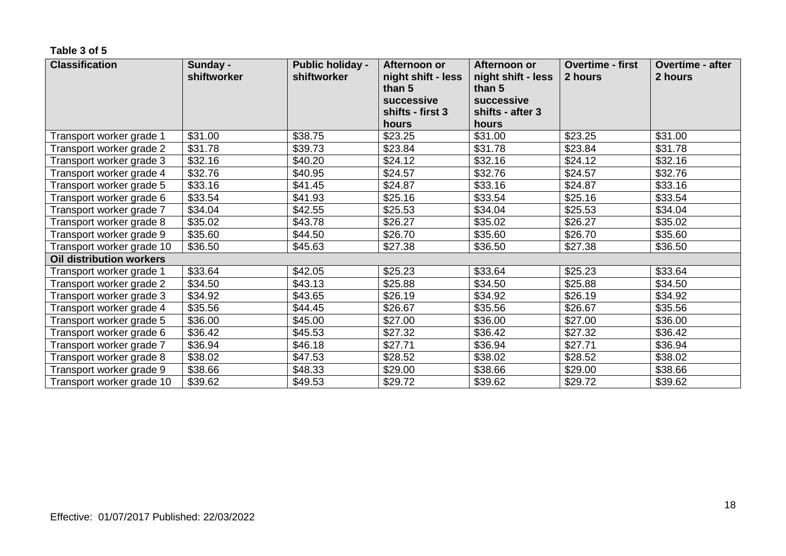#### **Table 3 of 5**

| <b>Classification</b>     | Sunday -<br>shiftworker | <b>Public holiday -</b><br>shiftworker | Afternoon or<br>Afternoon or<br>night shift - less<br>night shift - less<br>than 5<br>than 5<br>successive<br>successive<br>shifts - first 3<br>shifts - after 3 |         | <b>Overtime - first</b><br>2 hours | <b>Overtime - after</b><br>2 hours |
|---------------------------|-------------------------|----------------------------------------|------------------------------------------------------------------------------------------------------------------------------------------------------------------|---------|------------------------------------|------------------------------------|
|                           |                         |                                        | hours                                                                                                                                                            | hours   |                                    |                                    |
| Transport worker grade 1  | \$31.00                 | \$38.75                                | \$23.25                                                                                                                                                          | \$31.00 | \$23.25                            | \$31.00                            |
| Transport worker grade 2  | \$31.78                 | \$39.73                                | \$23.84                                                                                                                                                          | \$31.78 | \$23.84                            | \$31.78                            |
| Transport worker grade 3  | \$32.16                 | \$40.20                                | \$24.12                                                                                                                                                          | \$32.16 | \$24.12                            | \$32.16                            |
| Transport worker grade 4  | \$32.76                 | \$40.95                                | \$24.57                                                                                                                                                          | \$32.76 | \$24.57                            | \$32.76                            |
| Transport worker grade 5  | \$33.16                 | \$41.45                                | \$24.87                                                                                                                                                          | \$33.16 | \$24.87                            | \$33.16                            |
| Transport worker grade 6  | \$33.54                 | \$41.93                                | \$25.16                                                                                                                                                          | \$33.54 | \$25.16                            | \$33.54                            |
| Transport worker grade 7  | \$34.04                 | \$42.55                                | \$25.53                                                                                                                                                          | \$34.04 | \$25.53                            | \$34.04                            |
| Transport worker grade 8  | \$35.02                 | \$43.78                                | \$26.27                                                                                                                                                          | \$35.02 | \$26.27                            | \$35.02                            |
| Transport worker grade 9  | \$35.60                 | \$44.50                                | \$26.70                                                                                                                                                          | \$35.60 | \$26.70                            | \$35.60                            |
| Transport worker grade 10 | \$36.50                 | \$45.63                                | \$27.38                                                                                                                                                          | \$36.50 | \$27.38                            | \$36.50                            |
| Oil distribution workers  |                         |                                        |                                                                                                                                                                  |         |                                    |                                    |
| Transport worker grade 1  | \$33.64                 | \$42.05                                | \$25.23                                                                                                                                                          | \$33.64 | \$25.23                            | \$33.64                            |
| Transport worker grade 2  | \$34.50                 | \$43.13                                | \$25.88                                                                                                                                                          | \$34.50 | \$25.88                            | \$34.50                            |
| Transport worker grade 3  | \$34.92                 | \$43.65                                | \$26.19                                                                                                                                                          | \$34.92 | \$26.19                            | \$34.92                            |
| Transport worker grade 4  | \$35.56                 | \$44.45                                | \$26.67                                                                                                                                                          | \$35.56 | \$26.67                            | \$35.56                            |
| Transport worker grade 5  | \$36.00                 | \$45.00                                | \$27.00                                                                                                                                                          | \$36.00 | \$27.00                            | \$36.00                            |
| Transport worker grade 6  | \$36.42                 | \$45.53                                | \$27.32                                                                                                                                                          | \$36.42 | \$27.32                            | \$36.42                            |
| Transport worker grade 7  | \$36.94                 | \$46.18                                | \$27.71                                                                                                                                                          | \$36.94 | \$27.71                            | \$36.94                            |
| Transport worker grade 8  | \$38.02                 | \$47.53                                | \$28.52                                                                                                                                                          | \$38.02 | \$28.52                            | \$38.02                            |
| Transport worker grade 9  | \$38.66                 | \$48.33                                | \$29.00                                                                                                                                                          | \$38.66 | \$29.00                            | \$38.66                            |
| Transport worker grade 10 | \$39.62                 | \$49.53                                | \$29.72                                                                                                                                                          | \$39.62 | \$29.72                            | \$39.62                            |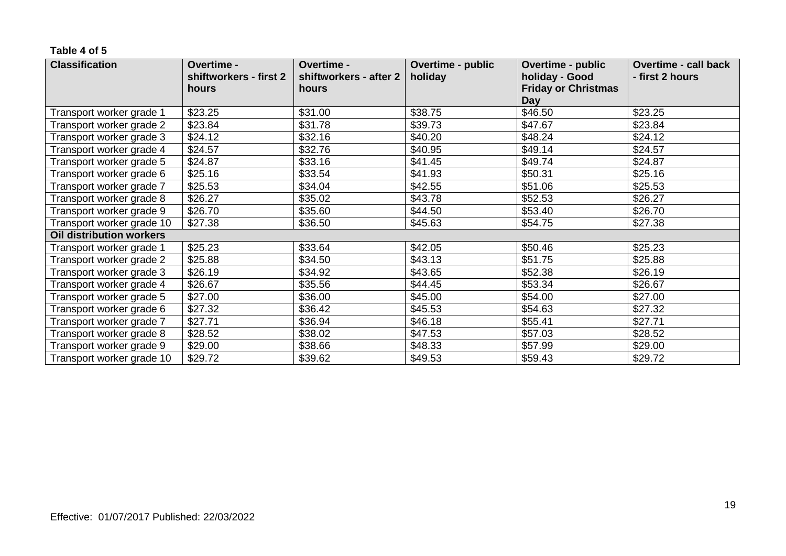#### **Table 4 of 5**

| <b>Classification</b>     | Overtime -<br>shiftworkers - first 2 | Overtime -<br>shiftworkers - after 2 | Overtime - public<br>holiday | Overtime - public<br>holiday - Good | <b>Overtime - call back</b><br>- first 2 hours |
|---------------------------|--------------------------------------|--------------------------------------|------------------------------|-------------------------------------|------------------------------------------------|
|                           | hours                                | hours                                |                              | <b>Friday or Christmas</b><br>Day   |                                                |
| Transport worker grade 1  | \$23.25                              | \$31.00                              | \$38.75                      | \$46.50                             | \$23.25                                        |
| Transport worker grade 2  | \$23.84                              | \$31.78                              | \$39.73                      | \$47.67                             | \$23.84                                        |
| Transport worker grade 3  | \$24.12                              | \$32.16                              | \$40.20                      | \$48.24                             | \$24.12                                        |
| Transport worker grade 4  | \$24.57                              | \$32.76                              | \$40.95                      | \$49.14                             | \$24.57                                        |
| Transport worker grade 5  | \$24.87                              | \$33.16                              | \$41.45                      | \$49.74                             | \$24.87                                        |
| Transport worker grade 6  | \$25.16                              | \$33.54                              | \$41.93                      | \$50.31                             | \$25.16                                        |
| Transport worker grade 7  | \$25.53                              | \$34.04                              | \$42.55                      | \$51.06                             | \$25.53                                        |
| Transport worker grade 8  | \$26.27                              | \$35.02                              | \$43.78                      | \$52.53                             | \$26.27                                        |
| Transport worker grade 9  | \$26.70                              | \$35.60                              | \$44.50                      | \$53.40                             | \$26.70                                        |
| Transport worker grade 10 | \$27.38                              | \$36.50                              | \$45.63                      | \$54.75                             | \$27.38                                        |
| Oil distribution workers  |                                      |                                      |                              |                                     |                                                |
| Transport worker grade 1  | \$25.23                              | \$33.64                              | \$42.05                      | \$50.46                             | \$25.23                                        |
| Transport worker grade 2  | \$25.88                              | \$34.50                              | \$43.13                      | \$51.75                             | \$25.88                                        |
| Transport worker grade 3  | \$26.19                              | \$34.92                              | \$43.65                      | \$52.38                             | \$26.19                                        |
| Transport worker grade 4  | \$26.67                              | \$35.56                              | \$44.45                      | \$53.34                             | \$26.67                                        |
| Transport worker grade 5  | \$27.00                              | \$36.00                              | \$45.00                      | \$54.00                             | \$27.00                                        |
| Transport worker grade 6  | \$27.32                              | \$36.42                              | \$45.53                      | \$54.63                             | \$27.32                                        |
| Transport worker grade 7  | \$27.71                              | \$36.94                              | \$46.18                      | \$55.41                             | \$27.71                                        |
| Transport worker grade 8  | \$28.52                              | \$38.02                              | \$47.53                      | \$57.03                             | \$28.52                                        |
| Transport worker grade 9  | \$29.00                              | \$38.66                              | \$48.33                      | \$57.99                             | \$29.00                                        |
| Transport worker grade 10 | \$29.72                              | \$39.62                              | \$49.53                      | \$59.43                             | \$29.72                                        |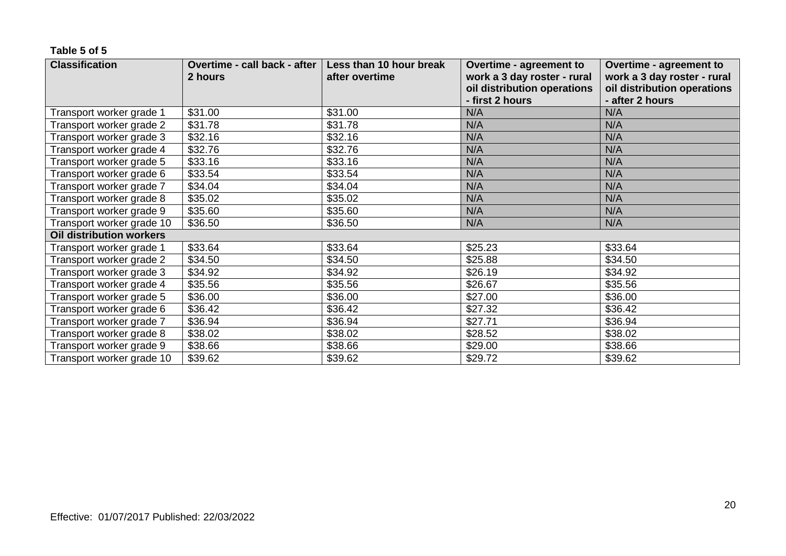#### **Table 5 of 5**

| <b>Classification</b>           | Overtime - call back - after | Less than 10 hour break | Overtime - agreement to     | <b>Overtime - agreement to</b> |
|---------------------------------|------------------------------|-------------------------|-----------------------------|--------------------------------|
|                                 | 2 hours                      | after overtime          | work a 3 day roster - rural | work a 3 day roster - rural    |
|                                 |                              |                         | oil distribution operations | oil distribution operations    |
|                                 |                              |                         | - first 2 hours             | - after 2 hours                |
| Transport worker grade 1        | \$31.00                      | \$31.00                 | N/A                         | N/A                            |
| Transport worker grade 2        | \$31.78                      | \$31.78                 | N/A                         | N/A                            |
| Transport worker grade 3        | \$32.16                      | \$32.16                 | N/A                         | N/A                            |
| Transport worker grade 4        | \$32.76                      | \$32.76                 | N/A                         | N/A                            |
| Transport worker grade 5        | \$33.16                      | \$33.16                 | N/A                         | N/A                            |
| Transport worker grade 6        | \$33.54                      | \$33.54                 | N/A                         | N/A                            |
| Transport worker grade 7        | \$34.04                      | \$34.04                 | N/A                         | N/A                            |
| Transport worker grade 8        | \$35.02                      | \$35.02                 | N/A                         | N/A                            |
| Transport worker grade 9        | \$35.60                      | \$35.60                 | N/A                         | N/A                            |
| Transport worker grade 10       | \$36.50                      | \$36.50                 | N/A                         | N/A                            |
| <b>Oil distribution workers</b> |                              |                         |                             |                                |
| Transport worker grade 1        | \$33.64                      | \$33.64                 | \$25.23                     | \$33.64                        |
| Transport worker grade 2        | \$34.50                      | \$34.50                 | \$25.88                     | \$34.50                        |
| Transport worker grade 3        | \$34.92                      | \$34.92                 | \$26.19                     | \$34.92                        |
| Transport worker grade 4        | \$35.56                      | \$35.56                 | \$26.67                     | \$35.56                        |
| Transport worker grade 5        | \$36.00                      | \$36.00                 | \$27.00                     | \$36.00                        |
| Transport worker grade 6        | \$36.42                      | \$36.42                 | \$27.32                     | \$36.42                        |
| Transport worker grade 7        | \$36.94                      | \$36.94                 | \$27.71                     | \$36.94                        |
| Transport worker grade 8        | \$38.02                      | \$38.02                 | \$28.52                     | \$38.02                        |
| Transport worker grade 9        | \$38.66                      | \$38.66                 | \$29.00                     | \$38.66                        |
| Transport worker grade 10       | \$39.62                      | \$39.62                 | \$29.72                     | \$39.62                        |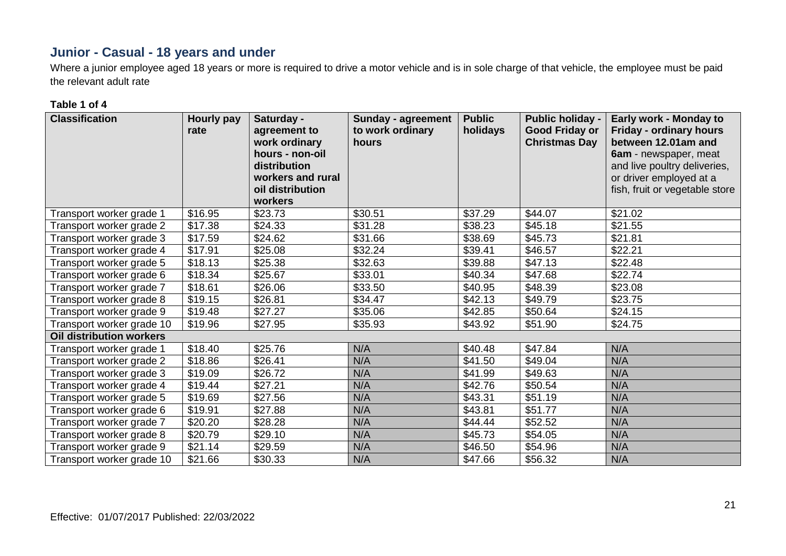# **Junior - Casual - 18 years and under**

Where a junior employee aged 18 years or more is required to drive a motor vehicle and is in sole charge of that vehicle, the employee must be paid the relevant adult rate

#### **Table 1 of 4**

| <b>Classification</b>           | Hourly pay<br>rate | Saturday -<br>agreement to<br>work ordinary<br>hours - non-oil<br>distribution<br>workers and rural<br>oil distribution<br>workers | <b>Sunday - agreement</b><br>to work ordinary<br>hours | <b>Public</b><br>holidays | <b>Public holiday -</b><br><b>Good Friday or</b><br><b>Christmas Day</b> | Early work - Monday to<br><b>Friday - ordinary hours</b><br>between 12.01am and<br>6am - newspaper, meat<br>and live poultry deliveries,<br>or driver employed at a<br>fish, fruit or vegetable store |
|---------------------------------|--------------------|------------------------------------------------------------------------------------------------------------------------------------|--------------------------------------------------------|---------------------------|--------------------------------------------------------------------------|-------------------------------------------------------------------------------------------------------------------------------------------------------------------------------------------------------|
| Transport worker grade 1        | \$16.95            | \$23.73                                                                                                                            | \$30.51                                                | \$37.29                   | \$44.07                                                                  | \$21.02                                                                                                                                                                                               |
| Transport worker grade 2        | \$17.38            | \$24.33                                                                                                                            | \$31.28                                                | \$38.23                   | \$45.18                                                                  | \$21.55                                                                                                                                                                                               |
| Transport worker grade 3        | \$17.59            | \$24.62                                                                                                                            | \$31.66                                                | \$38.69                   | \$45.73                                                                  | \$21.81                                                                                                                                                                                               |
| Transport worker grade 4        | \$17.91            | \$25.08                                                                                                                            | \$32.24                                                | \$39.41                   | \$46.57                                                                  | \$22.21                                                                                                                                                                                               |
| Transport worker grade 5        | \$18.13            | \$25.38                                                                                                                            | \$32.63                                                | \$39.88                   | \$47.13                                                                  | \$22.48                                                                                                                                                                                               |
| Transport worker grade 6        | \$18.34            | \$25.67                                                                                                                            | \$33.01                                                | \$40.34                   | \$47.68                                                                  | \$22.74                                                                                                                                                                                               |
| Transport worker grade 7        | \$18.61            | \$26.06                                                                                                                            | \$33.50                                                | \$40.95                   | \$48.39                                                                  | \$23.08                                                                                                                                                                                               |
| Transport worker grade 8        | \$19.15            | \$26.81                                                                                                                            | \$34.47                                                | \$42.13                   | \$49.79                                                                  | \$23.75                                                                                                                                                                                               |
| Transport worker grade 9        | \$19.48            | \$27.27                                                                                                                            | \$35.06                                                | \$42.85                   | \$50.64                                                                  | \$24.15                                                                                                                                                                                               |
| Transport worker grade 10       | \$19.96            | \$27.95                                                                                                                            | \$35.93                                                | \$43.92                   | \$51.90                                                                  | \$24.75                                                                                                                                                                                               |
| <b>Oil distribution workers</b> |                    |                                                                                                                                    |                                                        |                           |                                                                          |                                                                                                                                                                                                       |
| Transport worker grade 1        | \$18.40            | \$25.76                                                                                                                            | N/A                                                    | \$40.48                   | \$47.84                                                                  | N/A                                                                                                                                                                                                   |
| Transport worker grade 2        | \$18.86            | \$26.41                                                                                                                            | N/A                                                    | \$41.50                   | \$49.04                                                                  | N/A                                                                                                                                                                                                   |
| Transport worker grade 3        | \$19.09            | \$26.72                                                                                                                            | N/A                                                    | \$41.99                   | \$49.63                                                                  | N/A                                                                                                                                                                                                   |
| Transport worker grade 4        | \$19.44            | \$27.21                                                                                                                            | N/A                                                    | \$42.76                   | \$50.54                                                                  | N/A                                                                                                                                                                                                   |
| Transport worker grade 5        | \$19.69            | \$27.56                                                                                                                            | N/A                                                    | \$43.31                   | \$51.19                                                                  | N/A                                                                                                                                                                                                   |
| Transport worker grade 6        | \$19.91            | \$27.88                                                                                                                            | N/A                                                    | \$43.81                   | \$51.77                                                                  | N/A                                                                                                                                                                                                   |
| Transport worker grade 7        | \$20.20            | \$28.28                                                                                                                            | N/A                                                    | \$44.44                   | \$52.52                                                                  | N/A                                                                                                                                                                                                   |
| Transport worker grade 8        | \$20.79            | \$29.10                                                                                                                            | N/A                                                    | \$45.73                   | \$54.05                                                                  | N/A                                                                                                                                                                                                   |
| Transport worker grade 9        | \$21.14            | \$29.59                                                                                                                            | N/A                                                    | \$46.50                   | \$54.96                                                                  | N/A                                                                                                                                                                                                   |
| Transport worker grade 10       | \$21.66            | \$30.33                                                                                                                            | N/A                                                    | \$47.66                   | \$56.32                                                                  | N/A                                                                                                                                                                                                   |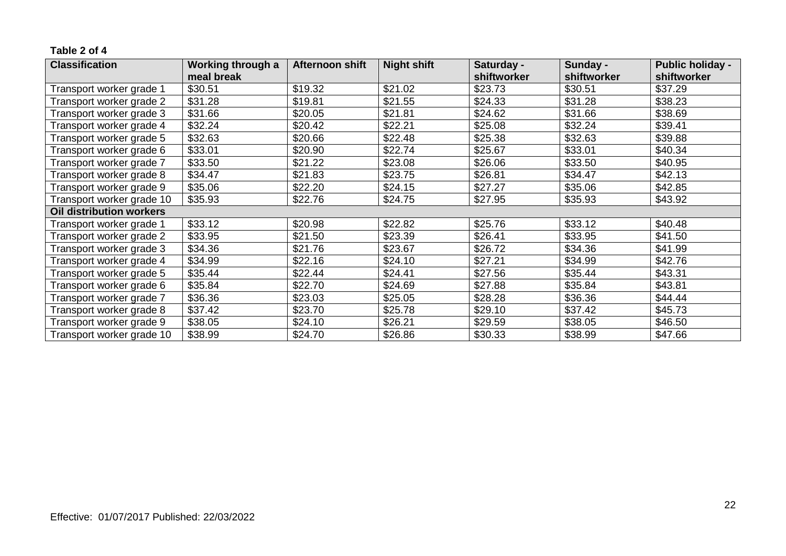#### **Table 2 of 4**

| <b>Classification</b>           | Working through a | Afternoon shift | <b>Night shift</b> | Saturday -  | Sunday -    | <b>Public holiday -</b> |
|---------------------------------|-------------------|-----------------|--------------------|-------------|-------------|-------------------------|
|                                 | meal break        |                 |                    | shiftworker | shiftworker | shiftworker             |
| Transport worker grade 1        | \$30.51           | \$19.32         | \$21.02            | \$23.73     | \$30.51     | \$37.29                 |
| Transport worker grade 2        | \$31.28           | \$19.81         | \$21.55            | \$24.33     | \$31.28     | \$38.23                 |
| Transport worker grade 3        | \$31.66           | \$20.05         | \$21.81            | \$24.62     | \$31.66     | \$38.69                 |
| Transport worker grade 4        | \$32.24           | \$20.42         | \$22.21            | \$25.08     | \$32.24     | \$39.41                 |
| Transport worker grade 5        | \$32.63           | \$20.66         | \$22.48            | \$25.38     | \$32.63     | \$39.88                 |
| Transport worker grade 6        | \$33.01           | \$20.90         | \$22.74            | \$25.67     | \$33.01     | \$40.34                 |
| Transport worker grade 7        | \$33.50           | \$21.22         | \$23.08            | \$26.06     | \$33.50     | \$40.95                 |
| Transport worker grade 8        | \$34.47           | \$21.83         | \$23.75            | \$26.81     | \$34.47     | \$42.13                 |
| Transport worker grade 9        | \$35.06           | \$22.20         | \$24.15            | \$27.27     | \$35.06     | \$42.85                 |
| Transport worker grade 10       | \$35.93           | \$22.76         | \$24.75            | \$27.95     | \$35.93     | \$43.92                 |
| <b>Oil distribution workers</b> |                   |                 |                    |             |             |                         |
| Transport worker grade 1        | \$33.12           | \$20.98         | \$22.82            | \$25.76     | \$33.12     | \$40.48                 |
| Transport worker grade 2        | \$33.95           | \$21.50         | \$23.39            | \$26.41     | \$33.95     | \$41.50                 |
| Transport worker grade 3        | \$34.36           | \$21.76         | \$23.67            | \$26.72     | \$34.36     | \$41.99                 |
| Transport worker grade 4        | \$34.99           | \$22.16         | \$24.10            | \$27.21     | \$34.99     | \$42.76                 |
| Transport worker grade 5        | \$35.44           | \$22.44         | \$24.41            | \$27.56     | \$35.44     | \$43.31                 |
| Transport worker grade 6        | \$35.84           | \$22.70         | \$24.69            | \$27.88     | \$35.84     | \$43.81                 |
| Transport worker grade 7        | \$36.36           | \$23.03         | \$25.05            | \$28.28     | \$36.36     | \$44.44                 |
| Transport worker grade 8        | \$37.42           | \$23.70         | \$25.78            | \$29.10     | \$37.42     | \$45.73                 |
| Transport worker grade 9        | \$38.05           | \$24.10         | \$26.21            | \$29.59     | \$38.05     | \$46.50                 |
| Transport worker grade 10       | \$38.99           | \$24.70         | \$26.86            | \$30.33     | \$38.99     | \$47.66                 |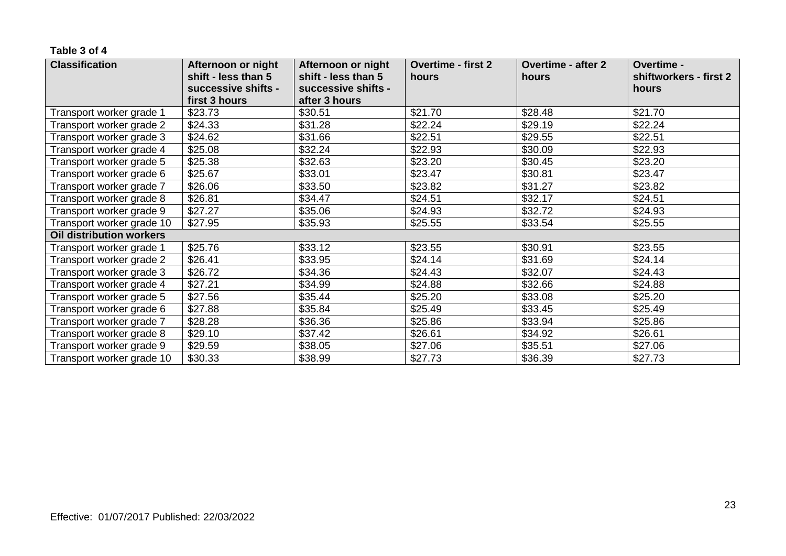#### **Table 3 of 4**

| <b>Classification</b>           | Afternoon or night  | Afternoon or night  | <b>Overtime - first 2</b> | <b>Overtime - after 2</b> | Overtime -             |
|---------------------------------|---------------------|---------------------|---------------------------|---------------------------|------------------------|
|                                 | shift - less than 5 | shift - less than 5 | hours                     | hours                     | shiftworkers - first 2 |
|                                 | successive shifts - | successive shifts - |                           |                           | hours                  |
|                                 | first 3 hours       | after 3 hours       |                           |                           |                        |
| Transport worker grade 1        | \$23.73             | \$30.51             | \$21.70                   | \$28.48                   | \$21.70                |
| Transport worker grade 2        | \$24.33             | \$31.28             | \$22.24                   | \$29.19                   | \$22.24                |
| Transport worker grade 3        | \$24.62             | \$31.66             | \$22.51                   | \$29.55                   | \$22.51                |
| Transport worker grade 4        | \$25.08             | \$32.24             | \$22.93                   | \$30.09                   | \$22.93                |
| Transport worker grade 5        | \$25.38             | \$32.63             | \$23.20                   | \$30.45                   | \$23.20                |
| Transport worker grade 6        | \$25.67             | \$33.01             | \$23.47                   | \$30.81                   | \$23.47                |
| Transport worker grade 7        | \$26.06             | \$33.50             | \$23.82                   | \$31.27                   | \$23.82                |
| Transport worker grade 8        | \$26.81             | \$34.47             | \$24.51                   | \$32.17                   | \$24.51                |
| Transport worker grade 9        | \$27.27             | \$35.06             | \$24.93                   | \$32.72                   | \$24.93                |
| Transport worker grade 10       | \$27.95             | \$35.93             | \$25.55                   | \$33.54                   | \$25.55                |
| <b>Oil distribution workers</b> |                     |                     |                           |                           |                        |
| Transport worker grade 1        | \$25.76             | \$33.12             | \$23.55                   | \$30.91                   | \$23.55                |
| Transport worker grade 2        | \$26.41             | \$33.95             | \$24.14                   | \$31.69                   | \$24.14                |
| Transport worker grade 3        | \$26.72             | \$34.36             | \$24.43                   | \$32.07                   | \$24.43                |
| Transport worker grade 4        | \$27.21             | \$34.99             | \$24.88                   | \$32.66                   | \$24.88                |
| Transport worker grade 5        | \$27.56             | \$35.44             | \$25.20                   | \$33.08                   | \$25.20                |
| Transport worker grade 6        | \$27.88             | \$35.84             | \$25.49                   | \$33.45                   | \$25.49                |
| Transport worker grade 7        | \$28.28             | \$36.36             | \$25.86                   | \$33.94                   | \$25.86                |
| Transport worker grade 8        | \$29.10             | \$37.42             | \$26.61                   | \$34.92                   | \$26.61                |
| Transport worker grade 9        | \$29.59             | \$38.05             | \$27.06                   | \$35.51                   | \$27.06                |
| Transport worker grade 10       | \$30.33             | \$38.99             | \$27.73                   | \$36.39                   | \$27.73                |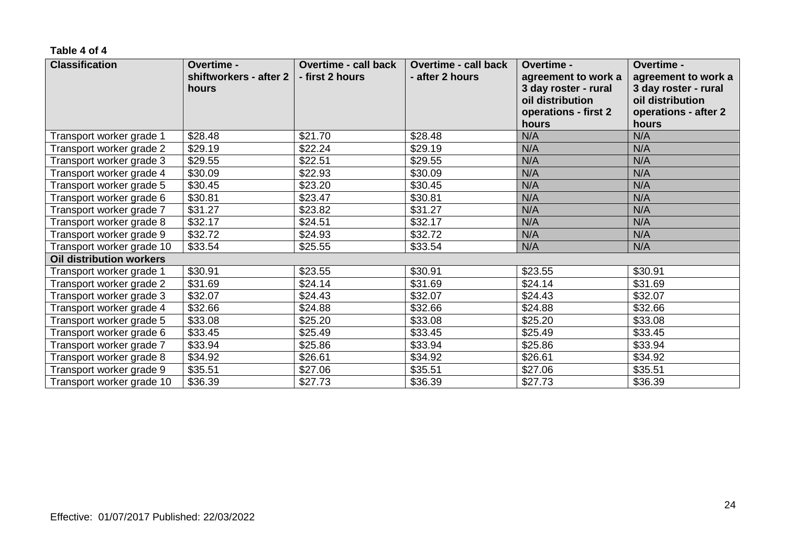#### **Table 4 of 4**

| <b>Classification</b>           | <b>Overtime -</b><br>shiftworkers - after 2<br>hours | <b>Overtime - call back</b><br>- first 2 hours | <b>Overtime - call back</b><br>- after 2 hours | Overtime -<br>agreement to work a<br>3 day roster - rural<br>oil distribution<br>operations - first 2<br>hours | Overtime -<br>agreement to work a<br>3 day roster - rural<br>oil distribution<br>operations - after 2<br>hours |
|---------------------------------|------------------------------------------------------|------------------------------------------------|------------------------------------------------|----------------------------------------------------------------------------------------------------------------|----------------------------------------------------------------------------------------------------------------|
| Transport worker grade 1        | \$28.48                                              | \$21.70                                        | \$28.48                                        | N/A                                                                                                            | N/A                                                                                                            |
| Transport worker grade 2        | \$29.19                                              | \$22.24                                        | \$29.19                                        | N/A                                                                                                            | N/A                                                                                                            |
| Transport worker grade 3        | \$29.55                                              | \$22.51                                        | \$29.55                                        | N/A                                                                                                            | N/A                                                                                                            |
| Transport worker grade 4        | \$30.09                                              | \$22.93                                        | \$30.09                                        | N/A                                                                                                            | N/A                                                                                                            |
| Transport worker grade 5        | \$30.45                                              | \$23.20                                        | \$30.45                                        | N/A                                                                                                            | N/A                                                                                                            |
| Transport worker grade 6        | \$30.81                                              | \$23.47                                        | \$30.81                                        | N/A                                                                                                            | N/A                                                                                                            |
| Transport worker grade 7        | \$31.27                                              | \$23.82                                        | \$31.27                                        | N/A                                                                                                            | N/A                                                                                                            |
| Transport worker grade 8        | \$32.17                                              | \$24.51                                        | \$32.17                                        | N/A                                                                                                            | N/A                                                                                                            |
| Transport worker grade 9        | \$32.72                                              | \$24.93                                        | \$32.72                                        | N/A                                                                                                            | N/A                                                                                                            |
| Transport worker grade 10       | \$33.54                                              | \$25.55                                        | \$33.54                                        | N/A                                                                                                            | N/A                                                                                                            |
| <b>Oil distribution workers</b> |                                                      |                                                |                                                |                                                                                                                |                                                                                                                |
| Transport worker grade 1        | \$30.91                                              | \$23.55                                        | \$30.91                                        | \$23.55                                                                                                        | \$30.91                                                                                                        |
| Transport worker grade 2        | \$31.69                                              | \$24.14                                        | \$31.69                                        | \$24.14                                                                                                        | \$31.69                                                                                                        |
| Transport worker grade 3        | \$32.07                                              | \$24.43                                        | \$32.07                                        | \$24.43                                                                                                        | \$32.07                                                                                                        |
| Transport worker grade 4        | \$32.66                                              | \$24.88                                        | \$32.66                                        | \$24.88                                                                                                        | \$32.66                                                                                                        |
| Transport worker grade 5        | \$33.08                                              | \$25.20                                        | \$33.08                                        | \$25.20                                                                                                        | \$33.08                                                                                                        |
| Transport worker grade 6        | \$33.45                                              | \$25.49                                        | \$33.45                                        | \$25.49                                                                                                        | \$33.45                                                                                                        |
| Transport worker grade 7        | \$33.94                                              | \$25.86                                        | \$33.94                                        | \$25.86                                                                                                        | \$33.94                                                                                                        |
| Transport worker grade 8        | \$34.92                                              | \$26.61                                        | \$34.92                                        | \$26.61                                                                                                        | \$34.92                                                                                                        |
| Transport worker grade 9        | \$35.51                                              | \$27.06                                        | \$35.51                                        | \$27.06                                                                                                        | \$35.51                                                                                                        |
| Transport worker grade 10       | \$36.39                                              | \$27.73                                        | \$36.39                                        | \$27.73                                                                                                        | \$36.39                                                                                                        |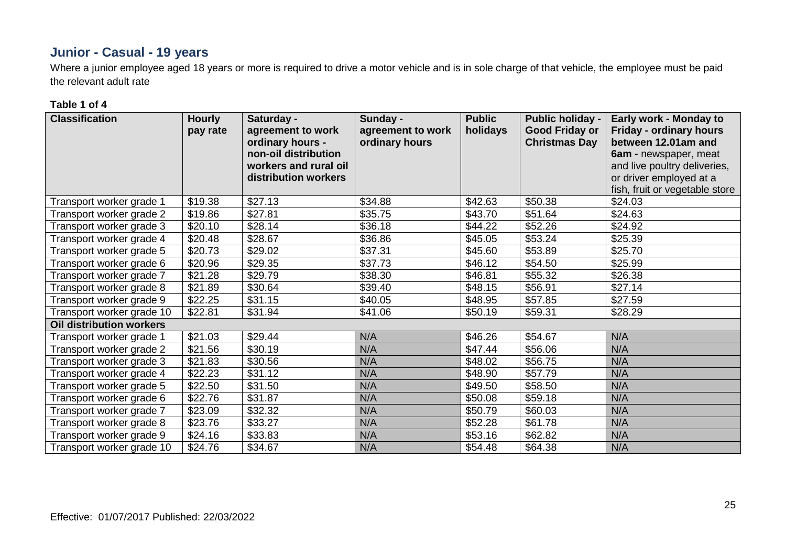# **Junior - Casual - 19 years**

Where a junior employee aged 18 years or more is required to drive a motor vehicle and is in sole charge of that vehicle, the employee must be paid the relevant adult rate

#### **Table 1 of 4**

| <b>Classification</b>     | <b>Hourly</b><br>pay rate | Saturday -<br>agreement to work<br>ordinary hours -<br>non-oil distribution<br>workers and rural oil<br>distribution workers | Sunday -<br>agreement to work<br>ordinary hours | <b>Public</b><br>holidays | <b>Public holiday -</b><br><b>Good Friday or</b><br><b>Christmas Day</b> | Early work - Monday to<br><b>Friday - ordinary hours</b><br>between 12.01am and<br>6am - newspaper, meat<br>and live poultry deliveries,<br>or driver employed at a<br>fish, fruit or vegetable store |
|---------------------------|---------------------------|------------------------------------------------------------------------------------------------------------------------------|-------------------------------------------------|---------------------------|--------------------------------------------------------------------------|-------------------------------------------------------------------------------------------------------------------------------------------------------------------------------------------------------|
| Transport worker grade 1  | \$19.38                   | \$27.13                                                                                                                      | \$34.88                                         | \$42.63                   | \$50.38                                                                  | \$24.03                                                                                                                                                                                               |
| Transport worker grade 2  | \$19.86                   | \$27.81                                                                                                                      | \$35.75                                         | \$43.70                   | \$51.64                                                                  | \$24.63                                                                                                                                                                                               |
| Transport worker grade 3  | \$20.10                   | \$28.14                                                                                                                      | \$36.18                                         | \$44.22                   | \$52.26                                                                  | \$24.92                                                                                                                                                                                               |
| Transport worker grade 4  | \$20.48                   | \$28.67                                                                                                                      | \$36.86                                         | \$45.05                   | \$53.24                                                                  | \$25.39                                                                                                                                                                                               |
| Transport worker grade 5  | \$20.73                   | \$29.02                                                                                                                      | \$37.31                                         | \$45.60                   | \$53.89                                                                  | \$25.70                                                                                                                                                                                               |
| Transport worker grade 6  | \$20.96                   | \$29.35                                                                                                                      | \$37.73                                         | \$46.12                   | \$54.50                                                                  | \$25.99                                                                                                                                                                                               |
| Transport worker grade 7  | $\overline{$}21.28$       | \$29.79                                                                                                                      | \$38.30                                         | \$46.81                   | \$55.32                                                                  | \$26.38                                                                                                                                                                                               |
| Transport worker grade 8  | $\overline{$}21.89$       | \$30.64                                                                                                                      | \$39.40                                         | \$48.15                   | \$56.91                                                                  | \$27.14                                                                                                                                                                                               |
| Transport worker grade 9  | \$22.25                   | \$31.15                                                                                                                      | \$40.05                                         | \$48.95                   | \$57.85                                                                  | \$27.59                                                                                                                                                                                               |
| Transport worker grade 10 | \$22.81                   | \$31.94                                                                                                                      | \$41.06                                         | \$50.19                   | \$59.31                                                                  | \$28.29                                                                                                                                                                                               |
| Oil distribution workers  |                           |                                                                                                                              |                                                 |                           |                                                                          |                                                                                                                                                                                                       |
| Transport worker grade 1  | \$21.03                   | \$29.44                                                                                                                      | N/A                                             | \$46.26                   | \$54.67                                                                  | N/A                                                                                                                                                                                                   |
| Transport worker grade 2  | \$21.56                   | \$30.19                                                                                                                      | N/A                                             | \$47.44                   | \$56.06                                                                  | N/A                                                                                                                                                                                                   |
| Transport worker grade 3  | \$21.83                   | \$30.56                                                                                                                      | N/A                                             | \$48.02                   | \$56.75                                                                  | N/A                                                                                                                                                                                                   |
| Transport worker grade 4  | \$22.23                   | \$31.12                                                                                                                      | N/A                                             | \$48.90                   | \$57.79                                                                  | N/A                                                                                                                                                                                                   |
| Transport worker grade 5  | \$22.50                   | \$31.50                                                                                                                      | N/A                                             | \$49.50                   | \$58.50                                                                  | N/A                                                                                                                                                                                                   |
| Transport worker grade 6  | \$22.76                   | \$31.87                                                                                                                      | N/A                                             | \$50.08                   | \$59.18                                                                  | N/A                                                                                                                                                                                                   |
| Transport worker grade 7  | \$23.09                   | \$32.32                                                                                                                      | N/A                                             | \$50.79                   | \$60.03                                                                  | N/A                                                                                                                                                                                                   |
| Transport worker grade 8  | \$23.76                   | \$33.27                                                                                                                      | N/A                                             | \$52.28                   | \$61.78                                                                  | N/A                                                                                                                                                                                                   |
| Transport worker grade 9  | \$24.16                   | \$33.83                                                                                                                      | N/A                                             | \$53.16                   | \$62.82                                                                  | N/A                                                                                                                                                                                                   |
| Transport worker grade 10 | \$24.76                   | \$34.67                                                                                                                      | N/A                                             | \$54.48                   | \$64.38                                                                  | N/A                                                                                                                                                                                                   |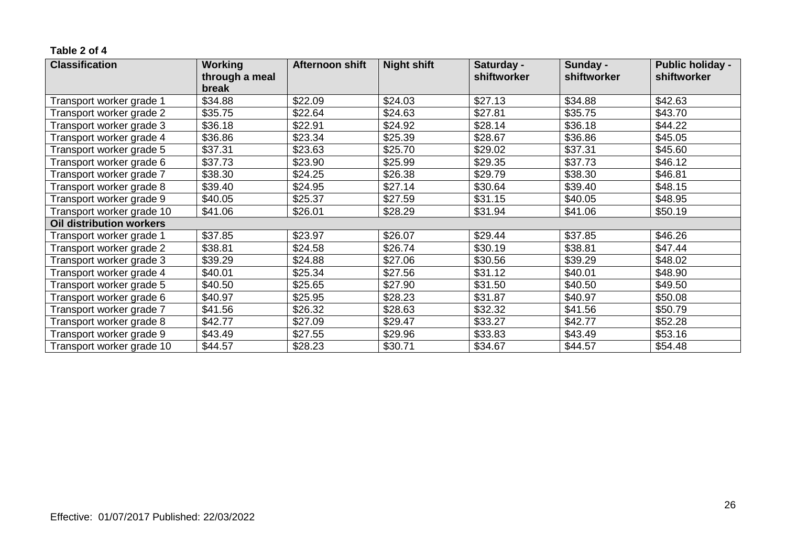#### **Table 2 of 4**

| <b>Classification</b>           | <b>Working</b> | Afternoon shift | <b>Night shift</b> | Saturday -  | Sunday -    | <b>Public holiday -</b> |
|---------------------------------|----------------|-----------------|--------------------|-------------|-------------|-------------------------|
|                                 | through a meal |                 |                    | shiftworker | shiftworker | shiftworker             |
|                                 | break          |                 |                    |             |             |                         |
| Transport worker grade 1        | \$34.88        | \$22.09         | \$24.03            | \$27.13     | \$34.88     | \$42.63                 |
| Transport worker grade 2        | \$35.75        | \$22.64         | \$24.63            | \$27.81     | \$35.75     | \$43.70                 |
| Transport worker grade 3        | \$36.18        | \$22.91         | \$24.92            | \$28.14     | \$36.18     | \$44.22                 |
| Transport worker grade 4        | \$36.86        | \$23.34         | \$25.39            | \$28.67     | \$36.86     | \$45.05                 |
| Transport worker grade 5        | \$37.31        | \$23.63         | \$25.70            | \$29.02     | \$37.31     | \$45.60                 |
| Transport worker grade 6        | \$37.73        | \$23.90         | \$25.99            | \$29.35     | \$37.73     | \$46.12                 |
| Transport worker grade 7        | \$38.30        | \$24.25         | \$26.38            | \$29.79     | \$38.30     | \$46.81                 |
| Transport worker grade 8        | \$39.40        | \$24.95         | \$27.14            | \$30.64     | \$39.40     | \$48.15                 |
| Transport worker grade 9        | \$40.05        | \$25.37         | \$27.59            | \$31.15     | \$40.05     | \$48.95                 |
| Transport worker grade 10       | \$41.06        | \$26.01         | \$28.29            | \$31.94     | \$41.06     | \$50.19                 |
| <b>Oil distribution workers</b> |                |                 |                    |             |             |                         |
| Transport worker grade 1        | \$37.85        | \$23.97         | \$26.07            | \$29.44     | \$37.85     | \$46.26                 |
| Transport worker grade 2        | \$38.81        | \$24.58         | \$26.74            | \$30.19     | \$38.81     | \$47.44                 |
| Transport worker grade 3        | \$39.29        | \$24.88         | \$27.06            | \$30.56     | \$39.29     | \$48.02                 |
| Transport worker grade 4        | \$40.01        | \$25.34         | \$27.56            | \$31.12     | \$40.01     | \$48.90                 |
| Transport worker grade 5        | \$40.50        | \$25.65         | \$27.90            | \$31.50     | \$40.50     | \$49.50                 |
| Transport worker grade 6        | \$40.97        | \$25.95         | \$28.23            | \$31.87     | \$40.97     | \$50.08                 |
| Transport worker grade 7        | \$41.56        | \$26.32         | \$28.63            | \$32.32     | \$41.56     | \$50.79                 |
| Transport worker grade 8        | \$42.77        | \$27.09         | \$29.47            | \$33.27     | \$42.77     | \$52.28                 |
| Transport worker grade 9        | \$43.49        | \$27.55         | \$29.96            | \$33.83     | \$43.49     | \$53.16                 |
| Transport worker grade 10       | \$44.57        | \$28.23         | \$30.71            | \$34.67     | \$44.57     | \$54.48                 |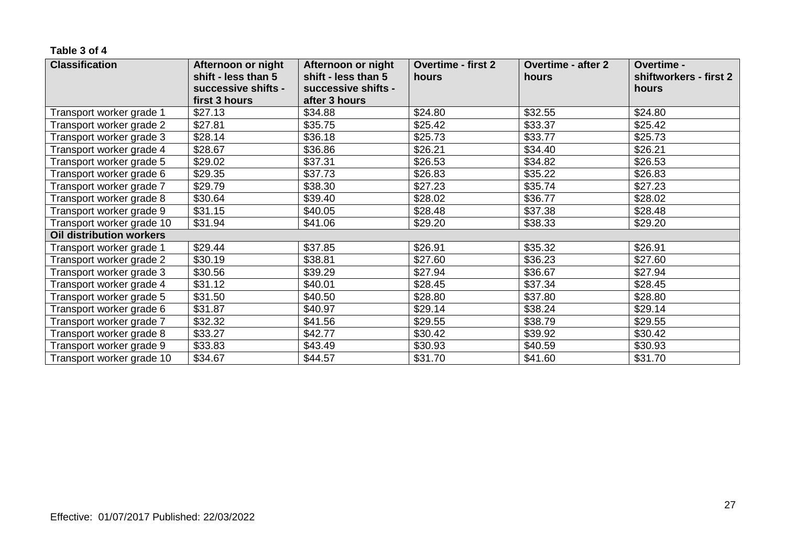#### **Table 3 of 4**

| <b>Classification</b>           | Afternoon or night  | Afternoon or night  | <b>Overtime - first 2</b> | <b>Overtime - after 2</b> | Overtime -             |
|---------------------------------|---------------------|---------------------|---------------------------|---------------------------|------------------------|
|                                 | shift - less than 5 | shift - less than 5 | hours                     | hours                     | shiftworkers - first 2 |
|                                 | successive shifts - | successive shifts - |                           |                           | hours                  |
|                                 | first 3 hours       | after 3 hours       |                           |                           |                        |
| Transport worker grade 1        | \$27.13             | \$34.88             | \$24.80                   | \$32.55                   | \$24.80                |
| Transport worker grade 2        | \$27.81             | \$35.75             | \$25.42                   | \$33.37                   | \$25.42                |
| Transport worker grade 3        | \$28.14             | \$36.18             | \$25.73                   | \$33.77                   | \$25.73                |
| Transport worker grade 4        | \$28.67             | \$36.86             | \$26.21                   | \$34.40                   | \$26.21                |
| Transport worker grade 5        | \$29.02             | \$37.31             | \$26.53                   | \$34.82                   | \$26.53                |
| Transport worker grade 6        | \$29.35             | \$37.73             | \$26.83                   | \$35.22                   | \$26.83                |
| Transport worker grade 7        | \$29.79             | \$38.30             | \$27.23                   | \$35.74                   | \$27.23                |
| Transport worker grade 8        | \$30.64             | \$39.40             | \$28.02                   | \$36.77                   | \$28.02                |
| Transport worker grade 9        | \$31.15             | \$40.05             | \$28.48                   | \$37.38                   | \$28.48                |
| Transport worker grade 10       | \$31.94             | \$41.06             | \$29.20                   | \$38.33                   | \$29.20                |
| <b>Oil distribution workers</b> |                     |                     |                           |                           |                        |
| Transport worker grade 1        | \$29.44             | \$37.85             | \$26.91                   | \$35.32                   | \$26.91                |
| Transport worker grade 2        | \$30.19             | \$38.81             | \$27.60                   | \$36.23                   | \$27.60                |
| Transport worker grade 3        | \$30.56             | \$39.29             | \$27.94                   | \$36.67                   | \$27.94                |
| Transport worker grade 4        | \$31.12             | \$40.01             | \$28.45                   | \$37.34                   | \$28.45                |
| Transport worker grade 5        | \$31.50             | \$40.50             | \$28.80                   | \$37.80                   | \$28.80                |
| Transport worker grade 6        | \$31.87             | \$40.97             | \$29.14                   | \$38.24                   | \$29.14                |
| Transport worker grade 7        | \$32.32             | \$41.56             | \$29.55                   | \$38.79                   | \$29.55                |
| Transport worker grade 8        | \$33.27             | \$42.77             | \$30.42                   | \$39.92                   | \$30.42                |
| Transport worker grade 9        | \$33.83             | \$43.49             | \$30.93                   | \$40.59                   | \$30.93                |
| Transport worker grade 10       | \$34.67             | \$44.57             | \$31.70                   | \$41.60                   | \$31.70                |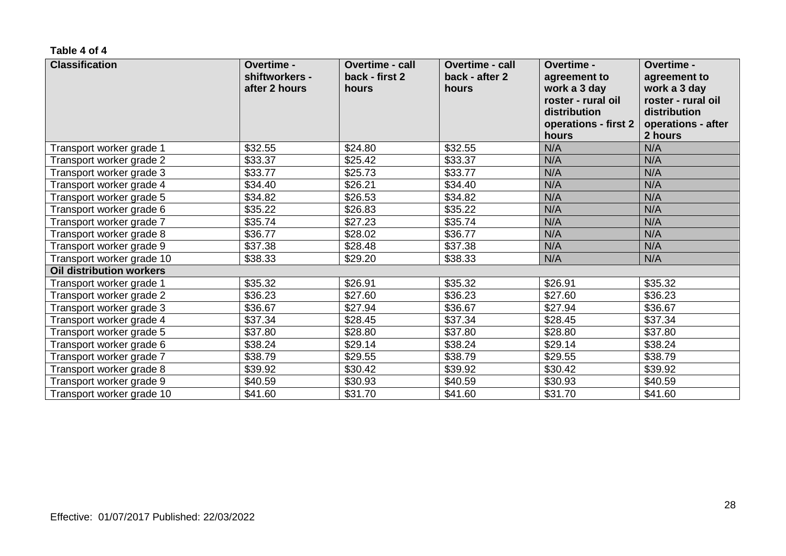#### **Table 4 of 4**

| <b>Classification</b>           | Overtime -<br>shiftworkers -<br>after 2 hours | <b>Overtime - call</b><br>back - first 2<br>hours | <b>Overtime - call</b><br>back - after 2<br>hours | <b>Overtime -</b><br>agreement to<br>work a 3 day<br>roster - rural oil<br>distribution<br>operations - first 2<br>hours | Overtime -<br>agreement to<br>work a 3 day<br>roster - rural oil<br>distribution<br>operations - after<br>2 hours |
|---------------------------------|-----------------------------------------------|---------------------------------------------------|---------------------------------------------------|--------------------------------------------------------------------------------------------------------------------------|-------------------------------------------------------------------------------------------------------------------|
| Transport worker grade 1        | \$32.55                                       | \$24.80                                           | \$32.55                                           | N/A                                                                                                                      | N/A                                                                                                               |
| Transport worker grade 2        | \$33.37                                       | \$25.42                                           | \$33.37                                           | N/A                                                                                                                      | N/A                                                                                                               |
| Transport worker grade 3        | \$33.77                                       | \$25.73                                           | \$33.77                                           | N/A                                                                                                                      | N/A                                                                                                               |
| Transport worker grade 4        | \$34.40                                       | \$26.21                                           | \$34.40                                           | N/A                                                                                                                      | N/A                                                                                                               |
| Transport worker grade 5        | \$34.82                                       | \$26.53                                           | \$34.82                                           | N/A                                                                                                                      | N/A                                                                                                               |
| Transport worker grade 6        | \$35.22                                       | \$26.83                                           | \$35.22                                           | N/A                                                                                                                      | N/A                                                                                                               |
| Transport worker grade 7        | \$35.74                                       | \$27.23                                           | \$35.74                                           | N/A                                                                                                                      | N/A                                                                                                               |
| Transport worker grade 8        | \$36.77                                       | \$28.02                                           | \$36.77                                           | N/A                                                                                                                      | N/A                                                                                                               |
| Transport worker grade 9        | \$37.38                                       | \$28.48                                           | \$37.38                                           | N/A                                                                                                                      | N/A                                                                                                               |
| Transport worker grade 10       | \$38.33                                       | \$29.20                                           | \$38.33                                           | N/A                                                                                                                      | N/A                                                                                                               |
| <b>Oil distribution workers</b> |                                               |                                                   |                                                   |                                                                                                                          |                                                                                                                   |
| Transport worker grade 1        | \$35.32                                       | \$26.91                                           | \$35.32                                           | \$26.91                                                                                                                  | \$35.32                                                                                                           |
| Transport worker grade 2        | \$36.23                                       | \$27.60                                           | \$36.23                                           | \$27.60                                                                                                                  | \$36.23                                                                                                           |
| Transport worker grade 3        | \$36.67                                       | \$27.94                                           | \$36.67                                           | \$27.94                                                                                                                  | \$36.67                                                                                                           |
| Transport worker grade 4        | \$37.34                                       | \$28.45                                           | \$37.34                                           | \$28.45                                                                                                                  | \$37.34                                                                                                           |
| Transport worker grade 5        | \$37.80                                       | \$28.80                                           | \$37.80                                           | \$28.80                                                                                                                  | \$37.80                                                                                                           |
| Transport worker grade 6        | \$38.24                                       | \$29.14                                           | \$38.24                                           | \$29.14                                                                                                                  | \$38.24                                                                                                           |
| Transport worker grade 7        | \$38.79                                       | \$29.55                                           | \$38.79                                           | \$29.55                                                                                                                  | \$38.79                                                                                                           |
| Transport worker grade 8        | \$39.92                                       | \$30.42                                           | \$39.92                                           | \$30.42                                                                                                                  | \$39.92                                                                                                           |
| Transport worker grade 9        | \$40.59                                       | \$30.93                                           | \$40.59                                           | \$30.93                                                                                                                  | \$40.59                                                                                                           |
| Transport worker grade 10       | \$41.60                                       | \$31.70                                           | \$41.60                                           | \$31.70                                                                                                                  | \$41.60                                                                                                           |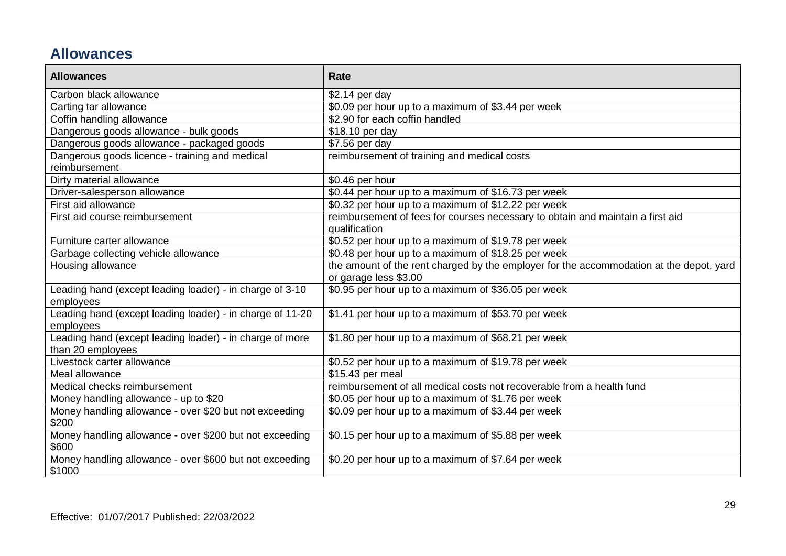# **Allowances**

| <b>Allowances</b>                                                             | Rate                                                                                                             |
|-------------------------------------------------------------------------------|------------------------------------------------------------------------------------------------------------------|
| Carbon black allowance                                                        | \$2.14 per day                                                                                                   |
| Carting tar allowance                                                         | \$0.09 per hour up to a maximum of \$3.44 per week                                                               |
| Coffin handling allowance                                                     | \$2.90 for each coffin handled                                                                                   |
| Dangerous goods allowance - bulk goods                                        | \$18.10 per day                                                                                                  |
| Dangerous goods allowance - packaged goods                                    | \$7.56 per day                                                                                                   |
| Dangerous goods licence - training and medical<br>reimbursement               | reimbursement of training and medical costs                                                                      |
| Dirty material allowance                                                      | \$0.46 per hour                                                                                                  |
| Driver-salesperson allowance                                                  | \$0.44 per hour up to a maximum of \$16.73 per week                                                              |
| First aid allowance                                                           | \$0.32 per hour up to a maximum of \$12.22 per week                                                              |
| First aid course reimbursement                                                | reimbursement of fees for courses necessary to obtain and maintain a first aid<br>qualification                  |
| Furniture carter allowance                                                    | \$0.52 per hour up to a maximum of \$19.78 per week                                                              |
| Garbage collecting vehicle allowance                                          | \$0.48 per hour up to a maximum of \$18.25 per week                                                              |
| Housing allowance                                                             | the amount of the rent charged by the employer for the accommodation at the depot, yard<br>or garage less \$3.00 |
| Leading hand (except leading loader) - in charge of 3-10<br>employees         | \$0.95 per hour up to a maximum of \$36.05 per week                                                              |
| Leading hand (except leading loader) - in charge of 11-20<br>employees        | \$1.41 per hour up to a maximum of \$53.70 per week                                                              |
| Leading hand (except leading loader) - in charge of more<br>than 20 employees | \$1.80 per hour up to a maximum of \$68.21 per week                                                              |
| Livestock carter allowance                                                    | \$0.52 per hour up to a maximum of \$19.78 per week                                                              |
| Meal allowance                                                                | \$15.43 per meal                                                                                                 |
| Medical checks reimbursement                                                  | reimbursement of all medical costs not recoverable from a health fund                                            |
| Money handling allowance - up to \$20                                         | \$0.05 per hour up to a maximum of \$1.76 per week                                                               |
| Money handling allowance - over \$20 but not exceeding<br>\$200               | \$0.09 per hour up to a maximum of \$3.44 per week                                                               |
| Money handling allowance - over \$200 but not exceeding<br>\$600              | \$0.15 per hour up to a maximum of \$5.88 per week                                                               |
| Money handling allowance - over \$600 but not exceeding<br>\$1000             | \$0.20 per hour up to a maximum of \$7.64 per week                                                               |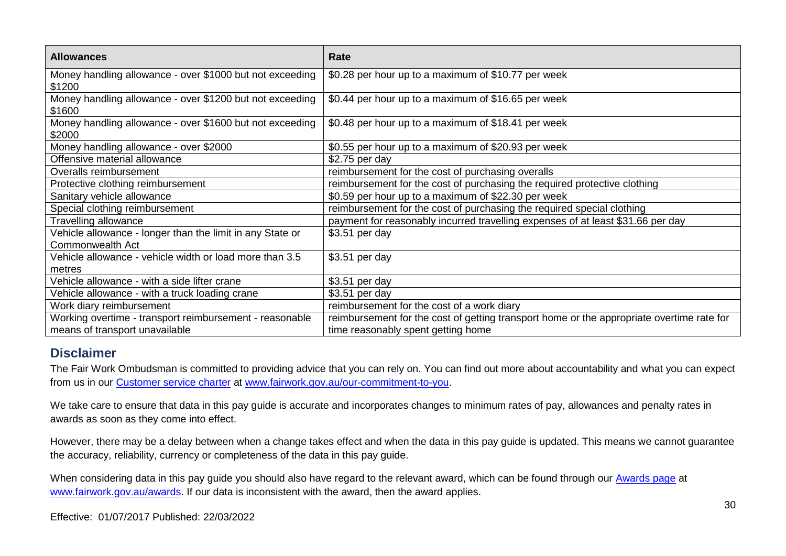| <b>Allowances</b>                                                                         | Rate                                                                                                                            |
|-------------------------------------------------------------------------------------------|---------------------------------------------------------------------------------------------------------------------------------|
| Money handling allowance - over \$1000 but not exceeding<br>\$1200                        | \$0.28 per hour up to a maximum of \$10.77 per week                                                                             |
| Money handling allowance - over \$1200 but not exceeding<br>\$1600                        | \$0.44 per hour up to a maximum of \$16.65 per week                                                                             |
| Money handling allowance - over \$1600 but not exceeding<br>\$2000                        | \$0.48 per hour up to a maximum of \$18.41 per week                                                                             |
| Money handling allowance - over \$2000                                                    | \$0.55 per hour up to a maximum of \$20.93 per week                                                                             |
| Offensive material allowance                                                              | \$2.75 per day                                                                                                                  |
| Overalls reimbursement                                                                    | reimbursement for the cost of purchasing overalls                                                                               |
| Protective clothing reimbursement                                                         | reimbursement for the cost of purchasing the required protective clothing                                                       |
| Sanitary vehicle allowance                                                                | \$0.59 per hour up to a maximum of \$22.30 per week                                                                             |
| Special clothing reimbursement                                                            | reimbursement for the cost of purchasing the required special clothing                                                          |
| Travelling allowance                                                                      | payment for reasonably incurred travelling expenses of at least \$31.66 per day                                                 |
| Vehicle allowance - longer than the limit in any State or                                 | \$3.51 per day                                                                                                                  |
| Commonwealth Act                                                                          |                                                                                                                                 |
| Vehicle allowance - vehicle width or load more than 3.5                                   | \$3.51 per day                                                                                                                  |
| metres                                                                                    |                                                                                                                                 |
| Vehicle allowance - with a side lifter crane                                              | \$3.51 per day                                                                                                                  |
| Vehicle allowance - with a truck loading crane                                            | \$3.51 per day                                                                                                                  |
| Work diary reimbursement                                                                  | reimbursement for the cost of a work diary                                                                                      |
| Working overtime - transport reimbursement - reasonable<br>means of transport unavailable | reimbursement for the cost of getting transport home or the appropriate overtime rate for<br>time reasonably spent getting home |

## **Disclaimer**

The Fair Work Ombudsman is committed to providing advice that you can rely on. You can find out more about accountability and what you can expect from us in our [Customer service charter](https://www.fairwork.gov.au/about-us/our-role-and-purpose/our-priorities/our-commitment-to-you#customer-service-charter) at [www.fairwork.gov.au/our-commitment-to-you.](http://www.fairwork.gov.au/our-commitment-to-you)

We take care to ensure that data in this pay guide is accurate and incorporates changes to minimum rates of pay, allowances and penalty rates in awards as soon as they come into effect.

However, there may be a delay between when a change takes effect and when the data in this pay guide is updated. This means we cannot guarantee the accuracy, reliability, currency or completeness of the data in this pay guide.

When considering data in this pay guide you should also have regard to the relevant award, which can be found through our **Awards page** at [www.fairwork.gov.au/awards.](http://www.fairwork.gov.au/awards) If our data is inconsistent with the award, then the award applies.